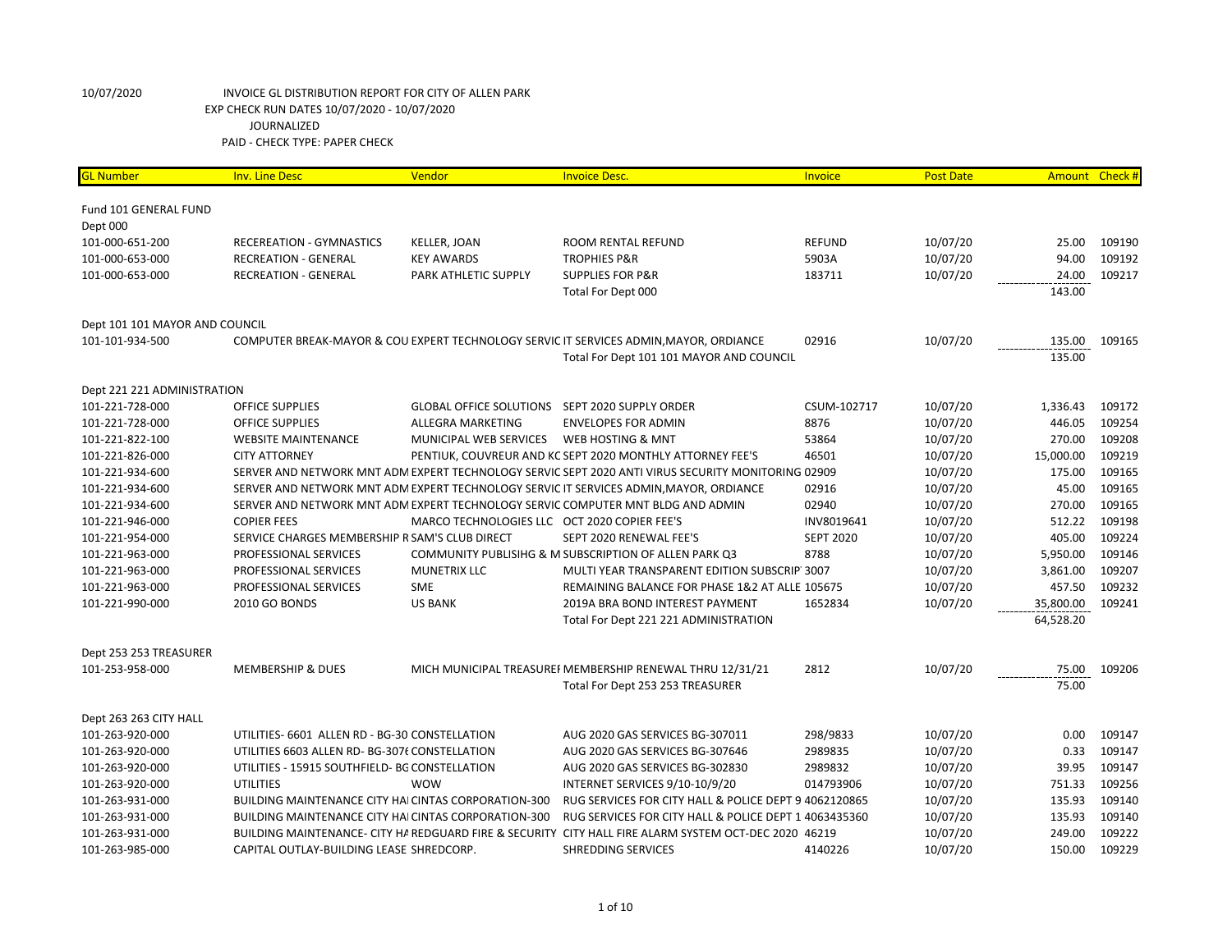| <b>GL Number</b>               | <b>Inv. Line Desc</b>                                       | Vendor                                         | <b>Invoice Desc.</b>                                                                                  | Invoice          | <b>Post Date</b> | Amount Check # |        |
|--------------------------------|-------------------------------------------------------------|------------------------------------------------|-------------------------------------------------------------------------------------------------------|------------------|------------------|----------------|--------|
|                                |                                                             |                                                |                                                                                                       |                  |                  |                |        |
| Fund 101 GENERAL FUND          |                                                             |                                                |                                                                                                       |                  |                  |                |        |
| Dept 000                       |                                                             |                                                |                                                                                                       |                  |                  |                |        |
| 101-000-651-200                | RECEREATION - GYMNASTICS                                    | <b>KELLER, JOAN</b>                            | <b>ROOM RENTAL REFUND</b>                                                                             | <b>REFUND</b>    | 10/07/20         | 25.00          | 109190 |
| 101-000-653-000                | <b>RECREATION - GENERAL</b>                                 | <b>KEY AWARDS</b>                              | <b>TROPHIES P&amp;R</b>                                                                               | 5903A            | 10/07/20         | 94.00          | 109192 |
| 101-000-653-000                | <b>RECREATION - GENERAL</b>                                 | PARK ATHLETIC SUPPLY                           | <b>SUPPLIES FOR P&amp;R</b>                                                                           | 183711           | 10/07/20         | 24.00          | 109217 |
|                                |                                                             |                                                | Total For Dept 000                                                                                    |                  |                  | 143.00         |        |
| Dept 101 101 MAYOR AND COUNCIL |                                                             |                                                |                                                                                                       |                  |                  |                |        |
| 101-101-934-500                |                                                             |                                                | COMPUTER BREAK-MAYOR & COU EXPERT TECHNOLOGY SERVIC IT SERVICES ADMIN, MAYOR, ORDIANCE                | 02916            | 10/07/20         | 135.00         | 109165 |
|                                |                                                             |                                                | Total For Dept 101 101 MAYOR AND COUNCIL                                                              |                  |                  | 135.00         |        |
| Dept 221 221 ADMINISTRATION    |                                                             |                                                |                                                                                                       |                  |                  |                |        |
| 101-221-728-000                | <b>OFFICE SUPPLIES</b>                                      | GLOBAL OFFICE SOLUTIONS SEPT 2020 SUPPLY ORDER |                                                                                                       | CSUM-102717      | 10/07/20         | 1,336.43       | 109172 |
| 101-221-728-000                | <b>OFFICE SUPPLIES</b>                                      | ALLEGRA MARKETING                              | <b>ENVELOPES FOR ADMIN</b>                                                                            | 8876             | 10/07/20         | 446.05         | 109254 |
| 101-221-822-100                | <b>WEBSITE MAINTENANCE</b>                                  | MUNICIPAL WEB SERVICES                         | WEB HOSTING & MNT                                                                                     | 53864            | 10/07/20         | 270.00         | 109208 |
| 101-221-826-000                | <b>CITY ATTORNEY</b>                                        |                                                | PENTIUK, COUVREUR AND KC SEPT 2020 MONTHLY ATTORNEY FEE'S                                             | 46501            | 10/07/20         | 15,000.00      | 109219 |
| 101-221-934-600                |                                                             |                                                | SERVER AND NETWORK MNT ADM EXPERT TECHNOLOGY SERVIC SEPT 2020 ANTI VIRUS SECURITY MONITORING 02909    |                  | 10/07/20         | 175.00         | 109165 |
| 101-221-934-600                |                                                             |                                                | SERVER AND NETWORK MNT ADM EXPERT TECHNOLOGY SERVIC IT SERVICES ADMIN, MAYOR, ORDIANCE                | 02916            | 10/07/20         | 45.00          | 109165 |
| 101-221-934-600                |                                                             |                                                | SERVER AND NETWORK MNT ADM EXPERT TECHNOLOGY SERVIC COMPUTER MNT BLDG AND ADMIN                       | 02940            | 10/07/20         | 270.00         | 109165 |
| 101-221-946-000                | <b>COPIER FEES</b>                                          | MARCO TECHNOLOGIES LLC OCT 2020 COPIER FEE'S   |                                                                                                       | INV8019641       | 10/07/20         | 512.22         | 109198 |
| 101-221-954-000                | SERVICE CHARGES MEMBERSHIP R SAM'S CLUB DIRECT              |                                                | SEPT 2020 RENEWAL FEE'S                                                                               | <b>SEPT 2020</b> | 10/07/20         | 405.00         | 109224 |
| 101-221-963-000                | PROFESSIONAL SERVICES                                       |                                                | COMMUNITY PUBLISIHG & M SUBSCRIPTION OF ALLEN PARK Q3                                                 | 8788             | 10/07/20         | 5,950.00       | 109146 |
| 101-221-963-000                | PROFESSIONAL SERVICES                                       | <b>MUNETRIX LLC</b>                            | MULTI YEAR TRANSPARENT EDITION SUBSCRIP 3007                                                          |                  | 10/07/20         | 3,861.00       | 109207 |
| 101-221-963-000                | PROFESSIONAL SERVICES                                       | <b>SME</b>                                     | REMAINING BALANCE FOR PHASE 1&2 AT ALLE 105675                                                        |                  | 10/07/20         | 457.50         | 109232 |
| 101-221-990-000                | 2010 GO BONDS                                               | <b>US BANK</b>                                 | 2019A BRA BOND INTEREST PAYMENT                                                                       | 1652834          | 10/07/20         | 35,800.00      | 109241 |
|                                |                                                             |                                                | Total For Dept 221 221 ADMINISTRATION                                                                 |                  |                  | 64,528.20      |        |
| Dept 253 253 TREASURER         |                                                             |                                                |                                                                                                       |                  |                  |                |        |
| 101-253-958-000                | <b>MEMBERSHIP &amp; DUES</b>                                |                                                | MICH MUNICIPAL TREASUREI MEMBERSHIP RENEWAL THRU 12/31/21                                             | 2812             | 10/07/20         | 75.00          | 109206 |
|                                |                                                             |                                                | Total For Dept 253 253 TREASURER                                                                      |                  |                  | 75.00          |        |
| Dept 263 263 CITY HALL         |                                                             |                                                |                                                                                                       |                  |                  |                |        |
| 101-263-920-000                | UTILITIES- 6601 ALLEN RD - BG-30 CONSTELLATION              |                                                | AUG 2020 GAS SERVICES BG-307011                                                                       | 298/9833         | 10/07/20         | 0.00           | 109147 |
| 101-263-920-000                | UTILITIES 6603 ALLEN RD- BG-3076 CONSTELLATION              |                                                | AUG 2020 GAS SERVICES BG-307646                                                                       | 2989835          | 10/07/20         | 0.33           | 109147 |
| 101-263-920-000                | UTILITIES - 15915 SOUTHFIELD- BG CONSTELLATION              |                                                | AUG 2020 GAS SERVICES BG-302830                                                                       | 2989832          | 10/07/20         | 39.95          | 109147 |
| 101-263-920-000                | UTILITIES                                                   | <b>WOW</b>                                     | INTERNET SERVICES 9/10-10/9/20                                                                        | 014793906        | 10/07/20         | 751.33         | 109256 |
| 101-263-931-000                | <b>BUILDING MAINTENANCE CITY HAI CINTAS CORPORATION-300</b> |                                                | RUG SERVICES FOR CITY HALL & POLICE DEPT 9 4062120865                                                 |                  | 10/07/20         | 135.93         | 109140 |
| 101-263-931-000                | BUILDING MAINTENANCE CITY HAI CINTAS CORPORATION-300        |                                                | RUG SERVICES FOR CITY HALL & POLICE DEPT 1 4063435360                                                 |                  | 10/07/20         | 135.93         | 109140 |
| 101-263-931-000                |                                                             |                                                | BUILDING MAINTENANCE- CITY HA REDGUARD FIRE & SECURITY CITY HALL FIRE ALARM SYSTEM OCT-DEC 2020 46219 |                  | 10/07/20         | 249.00         | 109222 |
| 101-263-985-000                | CAPITAL OUTLAY-BUILDING LEASE SHREDCORP.                    |                                                | SHREDDING SERVICES                                                                                    | 4140226          | 10/07/20         | 150.00         | 109229 |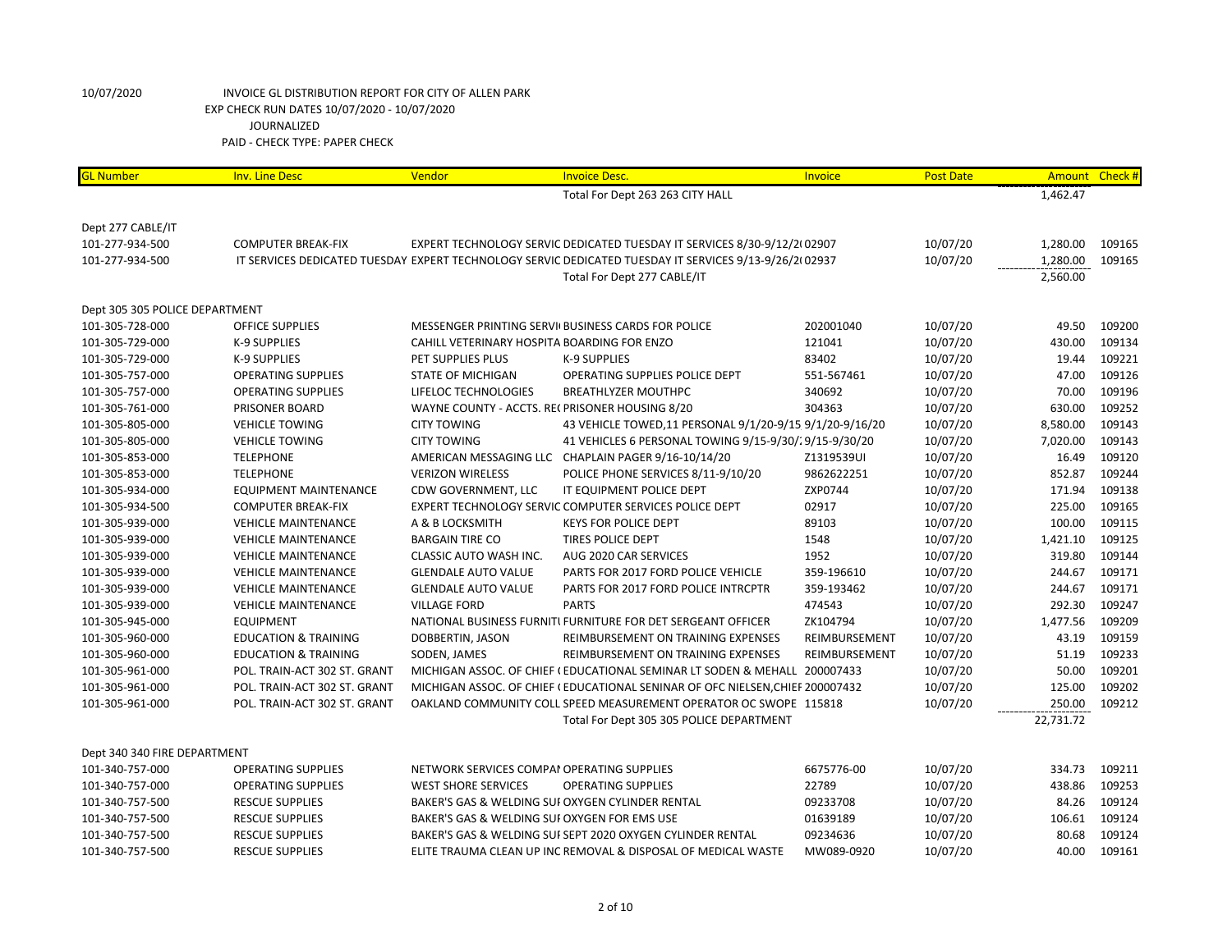| <b>GL Number</b>               | <b>Inv. Line Desc</b>           | Vendor                                         | <b>Invoice Desc.</b>                                                                                   | Invoice       | <b>Post Date</b> | Amount Check # |        |
|--------------------------------|---------------------------------|------------------------------------------------|--------------------------------------------------------------------------------------------------------|---------------|------------------|----------------|--------|
|                                |                                 |                                                | Total For Dept 263 263 CITY HALL                                                                       |               |                  | 1,462.47       |        |
|                                |                                 |                                                |                                                                                                        |               |                  |                |        |
| Dept 277 CABLE/IT              |                                 |                                                |                                                                                                        |               |                  |                |        |
| 101-277-934-500                | <b>COMPUTER BREAK-FIX</b>       |                                                | EXPERT TECHNOLOGY SERVIC DEDICATED TUESDAY IT SERVICES 8/30-9/12/2(02907                               |               | 10/07/20         | 1,280.00       | 109165 |
| 101-277-934-500                |                                 |                                                | IT SERVICES DEDICATED TUESDAY EXPERT TECHNOLOGY SERVIC DEDICATED TUESDAY IT SERVICES 9/13-9/26/2(02937 |               | 10/07/20         | 1,280.00       | 109165 |
|                                |                                 |                                                | Total For Dept 277 CABLE/IT                                                                            |               |                  | 2,560.00       |        |
| Dept 305 305 POLICE DEPARTMENT |                                 |                                                |                                                                                                        |               |                  |                |        |
| 101-305-728-000                | <b>OFFICE SUPPLIES</b>          |                                                | MESSENGER PRINTING SERVI(BUSINESS CARDS FOR POLICE                                                     | 202001040     | 10/07/20         | 49.50          | 109200 |
| 101-305-729-000                | <b>K-9 SUPPLIES</b>             | CAHILL VETERINARY HOSPITA BOARDING FOR ENZO    |                                                                                                        | 121041        | 10/07/20         | 430.00         | 109134 |
| 101-305-729-000                | K-9 SUPPLIES                    | PET SUPPLIES PLUS                              | <b>K-9 SUPPLIES</b>                                                                                    | 83402         | 10/07/20         | 19.44          | 109221 |
| 101-305-757-000                | <b>OPERATING SUPPLIES</b>       | <b>STATE OF MICHIGAN</b>                       | OPERATING SUPPLIES POLICE DEPT                                                                         | 551-567461    | 10/07/20         | 47.00          | 109126 |
| 101-305-757-000                | <b>OPERATING SUPPLIES</b>       | LIFELOC TECHNOLOGIES                           | <b>BREATHLYZER MOUTHPC</b>                                                                             | 340692        | 10/07/20         | 70.00          | 109196 |
| 101-305-761-000                | PRISONER BOARD                  | WAYNE COUNTY - ACCTS. RECPRISONER HOUSING 8/20 |                                                                                                        | 304363        | 10/07/20         | 630.00         | 109252 |
| 101-305-805-000                | <b>VEHICLE TOWING</b>           | <b>CITY TOWING</b>                             | 43 VEHICLE TOWED, 11 PERSONAL 9/1/20-9/15 9/1/20-9/16/20                                               |               | 10/07/20         | 8,580.00       | 109143 |
| 101-305-805-000                | <b>VEHICLE TOWING</b>           | <b>CITY TOWING</b>                             | 41 VEHICLES 6 PERSONAL TOWING 9/15-9/30/29/15-9/30/20                                                  |               | 10/07/20         | 7,020.00       | 109143 |
| 101-305-853-000                | <b>TELEPHONE</b>                |                                                | AMERICAN MESSAGING LLC CHAPLAIN PAGER 9/16-10/14/20                                                    | Z1319539UI    | 10/07/20         | 16.49          | 109120 |
| 101-305-853-000                | <b>TELEPHONE</b>                | <b>VERIZON WIRELESS</b>                        | POLICE PHONE SERVICES 8/11-9/10/20                                                                     | 9862622251    | 10/07/20         | 852.87         | 109244 |
| 101-305-934-000                | <b>EQUIPMENT MAINTENANCE</b>    | CDW GOVERNMENT, LLC                            | IT EQUIPMENT POLICE DEPT                                                                               | ZXP0744       | 10/07/20         | 171.94         | 109138 |
| 101-305-934-500                | <b>COMPUTER BREAK-FIX</b>       |                                                | EXPERT TECHNOLOGY SERVIC COMPUTER SERVICES POLICE DEPT                                                 | 02917         | 10/07/20         | 225.00         | 109165 |
| 101-305-939-000                | <b>VEHICLE MAINTENANCE</b>      | A & B LOCKSMITH                                | <b>KEYS FOR POLICE DEPT</b>                                                                            | 89103         | 10/07/20         | 100.00         | 109115 |
| 101-305-939-000                | <b>VEHICLE MAINTENANCE</b>      | <b>BARGAIN TIRE CO</b>                         | TIRES POLICE DEPT                                                                                      | 1548          | 10/07/20         | 1,421.10       | 109125 |
| 101-305-939-000                | <b>VEHICLE MAINTENANCE</b>      | CLASSIC AUTO WASH INC.                         | AUG 2020 CAR SERVICES                                                                                  | 1952          | 10/07/20         | 319.80         | 109144 |
| 101-305-939-000                | <b>VEHICLE MAINTENANCE</b>      | <b>GLENDALE AUTO VALUE</b>                     | PARTS FOR 2017 FORD POLICE VEHICLE                                                                     | 359-196610    | 10/07/20         | 244.67         | 109171 |
| 101-305-939-000                | <b>VEHICLE MAINTENANCE</b>      | <b>GLENDALE AUTO VALUE</b>                     | PARTS FOR 2017 FORD POLICE INTRCPTR                                                                    | 359-193462    | 10/07/20         | 244.67         | 109171 |
| 101-305-939-000                | <b>VEHICLE MAINTENANCE</b>      | <b>VILLAGE FORD</b>                            | <b>PARTS</b>                                                                                           | 474543        | 10/07/20         | 292.30         | 109247 |
| 101-305-945-000                | <b>EQUIPMENT</b>                |                                                | NATIONAL BUSINESS FURNITI FURNITURE FOR DET SERGEANT OFFICER                                           | ZK104794      | 10/07/20         | 1,477.56       | 109209 |
| 101-305-960-000                | <b>EDUCATION &amp; TRAINING</b> | DOBBERTIN, JASON                               | REIMBURSEMENT ON TRAINING EXPENSES                                                                     | REIMBURSEMENT | 10/07/20         | 43.19          | 109159 |
| 101-305-960-000                | <b>EDUCATION &amp; TRAINING</b> | SODEN, JAMES                                   | REIMBURSEMENT ON TRAINING EXPENSES                                                                     | REIMBURSEMENT | 10/07/20         | 51.19          | 109233 |
| 101-305-961-000                | POL. TRAIN-ACT 302 ST. GRANT    |                                                | MICHIGAN ASSOC. OF CHIEF (EDUCATIONAL SEMINAR LT SODEN & MEHALL 200007433                              |               | 10/07/20         | 50.00          | 109201 |
| 101-305-961-000                | POL. TRAIN-ACT 302 ST. GRANT    |                                                | MICHIGAN ASSOC. OF CHIEF (EDUCATIONAL SENINAR OF OFC NIELSEN, CHIEF 200007432                          |               | 10/07/20         | 125.00         | 109202 |
| 101-305-961-000                | POL. TRAIN-ACT 302 ST. GRANT    |                                                | OAKLAND COMMUNITY COLL SPEED MEASUREMENT OPERATOR OC SWOPE 115818                                      |               | 10/07/20         | 250.00         | 109212 |
|                                |                                 |                                                | Total For Dept 305 305 POLICE DEPARTMENT                                                               |               |                  | 22,731.72      |        |
| Dept 340 340 FIRE DEPARTMENT   |                                 |                                                |                                                                                                        |               |                  |                |        |
| 101-340-757-000                | <b>OPERATING SUPPLIES</b>       | NETWORK SERVICES COMPAI OPERATING SUPPLIES     |                                                                                                        | 6675776-00    | 10/07/20         | 334.73         | 109211 |
| 101-340-757-000                | <b>OPERATING SUPPLIES</b>       | <b>WEST SHORE SERVICES</b>                     | <b>OPERATING SUPPLIES</b>                                                                              | 22789         | 10/07/20         | 438.86         | 109253 |
| 101-340-757-500                | <b>RESCUE SUPPLIES</b>          |                                                | BAKER'S GAS & WELDING SUI OXYGEN CYLINDER RENTAL                                                       | 09233708      | 10/07/20         | 84.26          | 109124 |
| 101-340-757-500                | <b>RESCUE SUPPLIES</b>          | BAKER'S GAS & WELDING SUI OXYGEN FOR EMS USE   |                                                                                                        | 01639189      | 10/07/20         | 106.61         | 109124 |
| 101-340-757-500                | <b>RESCUE SUPPLIES</b>          |                                                | BAKER'S GAS & WELDING SUI SEPT 2020 OXYGEN CYLINDER RENTAL                                             | 09234636      | 10/07/20         | 80.68          | 109124 |
| 101-340-757-500                | <b>RESCUE SUPPLIES</b>          |                                                | ELITE TRAUMA CLEAN UP INC REMOVAL & DISPOSAL OF MEDICAL WASTE                                          | MW089-0920    | 10/07/20         | 40.00          | 109161 |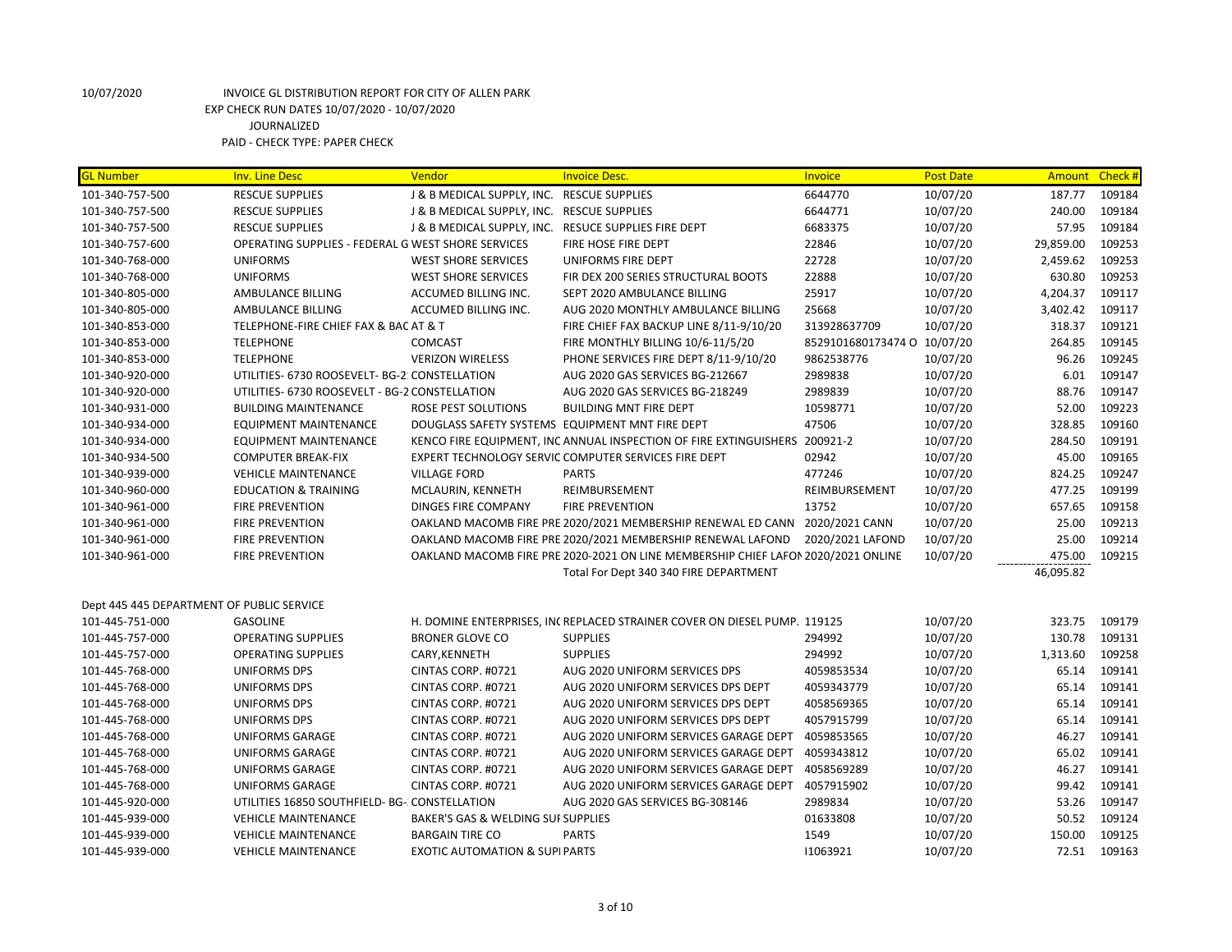| <b>GL Number</b>                          | <b>Inv. Line Desc</b>                              | Vendor                                     | <b>Invoice Desc.</b>                                                              | Invoice            | <b>Post Date</b> |           | Amount Check # |
|-------------------------------------------|----------------------------------------------------|--------------------------------------------|-----------------------------------------------------------------------------------|--------------------|------------------|-----------|----------------|
| 101-340-757-500                           | <b>RESCUE SUPPLIES</b>                             | J & B MEDICAL SUPPLY, INC. RESCUE SUPPLIES |                                                                                   | 6644770            | 10/07/20         | 187.77    | 109184         |
| 101-340-757-500                           | <b>RESCUE SUPPLIES</b>                             | J & B MEDICAL SUPPLY, INC. RESCUE SUPPLIES |                                                                                   | 6644771            | 10/07/20         | 240.00    | 109184         |
| 101-340-757-500                           | <b>RESCUE SUPPLIES</b>                             |                                            | J & B MEDICAL SUPPLY, INC. RESUCE SUPPLIES FIRE DEPT                              | 6683375            | 10/07/20         | 57.95     | 109184         |
| 101-340-757-600                           | OPERATING SUPPLIES - FEDERAL G WEST SHORE SERVICES |                                            | FIRE HOSE FIRE DEPT                                                               | 22846              | 10/07/20         | 29,859.00 | 109253         |
| 101-340-768-000                           | <b>UNIFORMS</b>                                    | <b>WEST SHORE SERVICES</b>                 | UNIFORMS FIRE DEPT                                                                | 22728              | 10/07/20         | 2,459.62  | 109253         |
| 101-340-768-000                           | <b>UNIFORMS</b>                                    | <b>WEST SHORE SERVICES</b>                 | FIR DEX 200 SERIES STRUCTURAL BOOTS                                               | 22888              | 10/07/20         | 630.80    | 109253         |
| 101-340-805-000                           | AMBULANCE BILLING                                  | ACCUMED BILLING INC.                       | SEPT 2020 AMBULANCE BILLING                                                       | 25917              | 10/07/20         | 4,204.37  | 109117         |
| 101-340-805-000                           | AMBULANCE BILLING                                  | ACCUMED BILLING INC.                       | AUG 2020 MONTHLY AMBULANCE BILLING                                                | 25668              | 10/07/20         | 3,402.42  | 109117         |
| 101-340-853-000                           | TELEPHONE-FIRE CHIEF FAX & BAC AT & T              |                                            | FIRE CHIEF FAX BACKUP LINE 8/11-9/10/20                                           | 313928637709       | 10/07/20         | 318.37    | 109121         |
| 101-340-853-000                           | <b>TELEPHONE</b>                                   | <b>COMCAST</b>                             | FIRE MONTHLY BILLING 10/6-11/5/20                                                 | 8529101680173474 O | 10/07/20         | 264.85    | 109145         |
| 101-340-853-000                           | <b>TELEPHONE</b>                                   | <b>VERIZON WIRELESS</b>                    | PHONE SERVICES FIRE DEPT 8/11-9/10/20                                             | 9862538776         | 10/07/20         | 96.26     | 109245         |
| 101-340-920-000                           | UTILITIES- 6730 ROOSEVELT- BG-2: CONSTELLATION     |                                            | AUG 2020 GAS SERVICES BG-212667                                                   | 2989838            | 10/07/20         | 6.01      | 109147         |
| 101-340-920-000                           | UTILITIES- 6730 ROOSEVELT - BG-2 CONSTELLATION     |                                            | AUG 2020 GAS SERVICES BG-218249                                                   | 2989839            | 10/07/20         | 88.76     | 109147         |
| 101-340-931-000                           | <b>BUILDING MAINTENANCE</b>                        | ROSE PEST SOLUTIONS                        | <b>BUILDING MNT FIRE DEPT</b>                                                     | 10598771           | 10/07/20         | 52.00     | 109223         |
| 101-340-934-000                           | <b>EQUIPMENT MAINTENANCE</b>                       |                                            | DOUGLASS SAFETY SYSTEMS EQUIPMENT MNT FIRE DEPT                                   | 47506              | 10/07/20         | 328.85    | 109160         |
| 101-340-934-000                           | <b>EQUIPMENT MAINTENANCE</b>                       |                                            | KENCO FIRE EQUIPMENT, INC ANNUAL INSPECTION OF FIRE EXTINGUISHERS 200921-2        |                    | 10/07/20         | 284.50    | 109191         |
| 101-340-934-500                           | <b>COMPUTER BREAK-FIX</b>                          |                                            | EXPERT TECHNOLOGY SERVIC COMPUTER SERVICES FIRE DEPT                              | 02942              | 10/07/20         | 45.00     | 109165         |
| 101-340-939-000                           | <b>VEHICLE MAINTENANCE</b>                         | <b>VILLAGE FORD</b>                        | <b>PARTS</b>                                                                      | 477246             | 10/07/20         | 824.25    | 109247         |
| 101-340-960-000                           | <b>EDUCATION &amp; TRAINING</b>                    | MCLAURIN, KENNETH                          | REIMBURSEMENT                                                                     | REIMBURSEMENT      | 10/07/20         | 477.25    | 109199         |
| 101-340-961-000                           | <b>FIRE PREVENTION</b>                             | DINGES FIRE COMPANY                        | <b>FIRE PREVENTION</b>                                                            | 13752              | 10/07/20         | 657.65    | 109158         |
| 101-340-961-000                           | <b>FIRE PREVENTION</b>                             |                                            | OAKLAND MACOMB FIRE PRE 2020/2021 MEMBERSHIP RENEWAL ED CANN 2020/2021 CANN       |                    | 10/07/20         | 25.00     | 109213         |
| 101-340-961-000                           | <b>FIRE PREVENTION</b>                             |                                            | OAKLAND MACOMB FIRE PRE 2020/2021 MEMBERSHIP RENEWAL LAFOND                       | 2020/2021 LAFOND   | 10/07/20         | 25.00     | 109214         |
| 101-340-961-000                           | FIRE PREVENTION                                    |                                            | OAKLAND MACOMB FIRE PRE 2020-2021 ON LINE MEMBERSHIP CHIEF LAFON 2020/2021 ONLINE |                    | 10/07/20         | 475.00    | 109215         |
|                                           |                                                    |                                            | Total For Dept 340 340 FIRE DEPARTMENT                                            |                    |                  | 46,095.82 |                |
| Dept 445 445 DEPARTMENT OF PUBLIC SERVICE |                                                    |                                            |                                                                                   |                    |                  |           |                |
| 101-445-751-000                           | <b>GASOLINE</b>                                    |                                            | H. DOMINE ENTERPRISES, INCREPLACED STRAINER COVER ON DIESEL PUMP. 119125          |                    | 10/07/20         | 323.75    | 109179         |
| 101-445-757-000                           | <b>OPERATING SUPPLIES</b>                          | <b>BRONER GLOVE CO</b>                     | <b>SUPPLIES</b>                                                                   | 294992             | 10/07/20         | 130.78    | 109131         |
| 101-445-757-000                           | <b>OPERATING SUPPLIES</b>                          | CARY, KENNETH                              | <b>SUPPLIES</b>                                                                   | 294992             | 10/07/20         | 1,313.60  | 109258         |
| 101-445-768-000                           | <b>UNIFORMS DPS</b>                                | CINTAS CORP. #0721                         | AUG 2020 UNIFORM SERVICES DPS                                                     | 4059853534         | 10/07/20         | 65.14     | 109141         |
| 101-445-768-000                           | UNIFORMS DPS                                       | CINTAS CORP. #0721                         | AUG 2020 UNIFORM SERVICES DPS DEPT                                                | 4059343779         | 10/07/20         | 65.14     | 109141         |
| 101-445-768-000                           | <b>UNIFORMS DPS</b>                                | CINTAS CORP. #0721                         | AUG 2020 UNIFORM SERVICES DPS DEPT                                                | 4058569365         | 10/07/20         | 65.14     | 109141         |
| 101-445-768-000                           | <b>UNIFORMS DPS</b>                                | CINTAS CORP. #0721                         | AUG 2020 UNIFORM SERVICES DPS DEPT                                                | 4057915799         | 10/07/20         | 65.14     | 109141         |
| 101-445-768-000                           | <b>UNIFORMS GARAGE</b>                             | CINTAS CORP. #0721                         | AUG 2020 UNIFORM SERVICES GARAGE DEPT                                             | 4059853565         | 10/07/20         | 46.27     | 109141         |
| 101-445-768-000                           | UNIFORMS GARAGE                                    | CINTAS CORP. #0721                         | AUG 2020 UNIFORM SERVICES GARAGE DEPT                                             | 4059343812         | 10/07/20         | 65.02     | 109141         |
| 101-445-768-000                           | <b>UNIFORMS GARAGE</b>                             | CINTAS CORP. #0721                         | AUG 2020 UNIFORM SERVICES GARAGE DEPT                                             | 4058569289         | 10/07/20         | 46.27     | 109141         |
| 101-445-768-000                           | <b>UNIFORMS GARAGE</b>                             | CINTAS CORP. #0721                         | AUG 2020 UNIFORM SERVICES GARAGE DEPT                                             | 4057915902         | 10/07/20         | 99.42     | 109141         |
| 101-445-920-000                           | UTILITIES 16850 SOUTHFIELD- BG- CONSTELLATION      |                                            | AUG 2020 GAS SERVICES BG-308146                                                   | 2989834            | 10/07/20         | 53.26     | 109147         |
| 101-445-939-000                           | <b>VEHICLE MAINTENANCE</b>                         | BAKER'S GAS & WELDING SUI SUPPLIES         |                                                                                   | 01633808           | 10/07/20         | 50.52     | 109124         |
| 101-445-939-000                           | <b>VEHICLE MAINTENANCE</b>                         | <b>BARGAIN TIRE CO</b>                     | <b>PARTS</b>                                                                      | 1549               | 10/07/20         | 150.00    | 109125         |
| 101-445-939-000                           | <b>VEHICLE MAINTENANCE</b>                         | <b>EXOTIC AUTOMATION &amp; SUPI PARTS</b>  |                                                                                   | 11063921           | 10/07/20         | 72.51     | 109163         |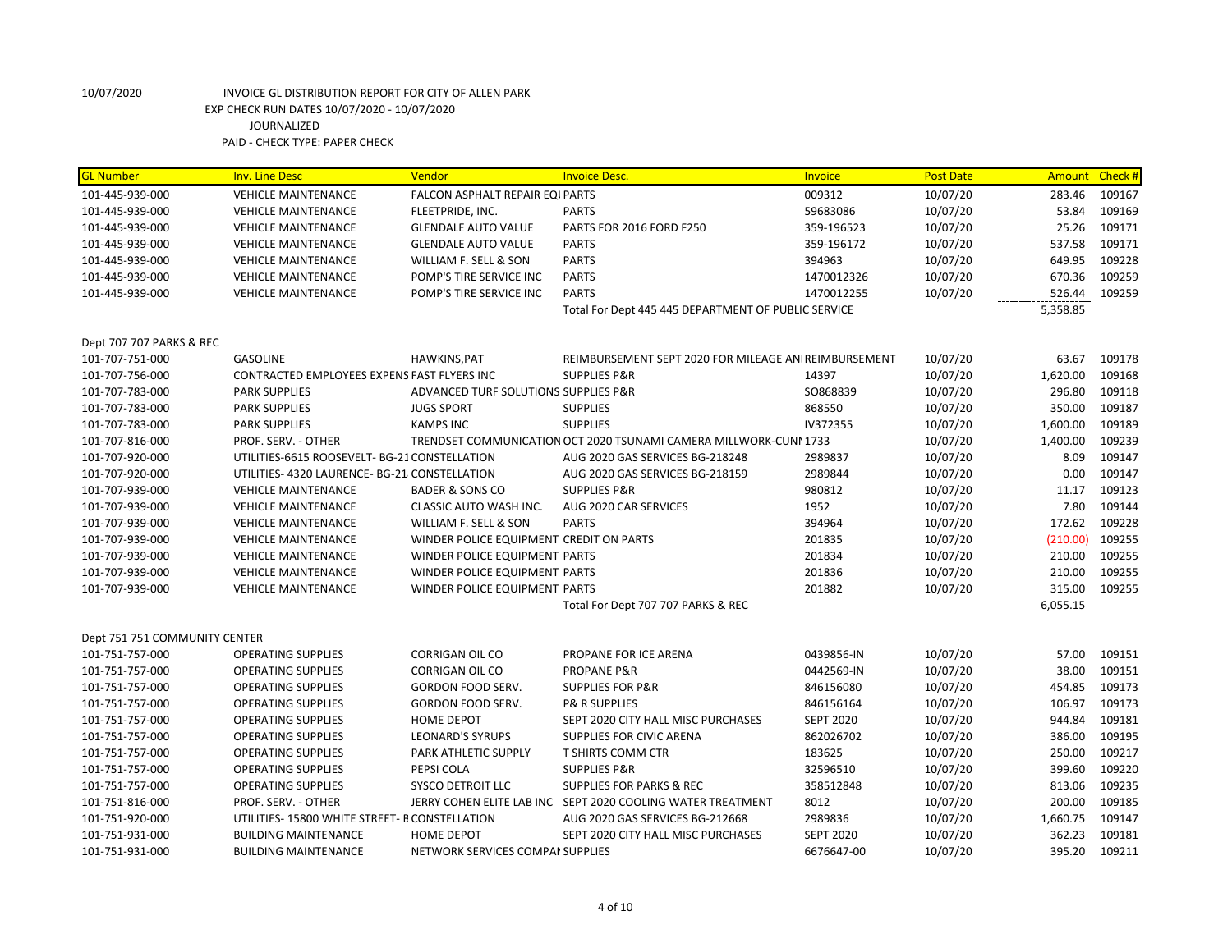# 10/07/2020 INVOICE GL DISTRIBUTION REPORT FOR CITY OF ALLEN PARK EXP CHECK RUN DATES 10/07/2020 - 10/07/2020 JOURNALIZED

PAID - CHECK TYPE: PAPER CHECK

| <b>GL Number</b>              | <b>Inv. Line Desc</b>                         | Vendor                                  | <b>Invoice Desc.</b>                                              | Invoice          | <b>Post Date</b> | <b>Amount</b> | Check # |
|-------------------------------|-----------------------------------------------|-----------------------------------------|-------------------------------------------------------------------|------------------|------------------|---------------|---------|
| 101-445-939-000               | <b>VEHICLE MAINTENANCE</b>                    | <b>FALCON ASPHALT REPAIR EQI PARTS</b>  |                                                                   | 009312           | 10/07/20         | 283.46        | 109167  |
| 101-445-939-000               | <b>VEHICLE MAINTENANCE</b>                    | FLEETPRIDE, INC.                        | <b>PARTS</b>                                                      | 59683086         | 10/07/20         | 53.84         | 109169  |
| 101-445-939-000               | <b>VEHICLE MAINTENANCE</b>                    | <b>GLENDALE AUTO VALUE</b>              | PARTS FOR 2016 FORD F250                                          | 359-196523       | 10/07/20         | 25.26         | 109171  |
| 101-445-939-000               | <b>VEHICLE MAINTENANCE</b>                    | <b>GLENDALE AUTO VALUE</b>              | <b>PARTS</b>                                                      | 359-196172       | 10/07/20         | 537.58        | 109171  |
| 101-445-939-000               | <b>VEHICLE MAINTENANCE</b>                    | WILLIAM F. SELL & SON                   | <b>PARTS</b>                                                      | 394963           | 10/07/20         | 649.95        | 109228  |
| 101-445-939-000               | <b>VEHICLE MAINTENANCE</b>                    | POMP'S TIRE SERVICE INC                 | <b>PARTS</b>                                                      | 1470012326       | 10/07/20         | 670.36        | 109259  |
| 101-445-939-000               | <b>VEHICLE MAINTENANCE</b>                    | POMP'S TIRE SERVICE INC                 | <b>PARTS</b>                                                      | 1470012255       | 10/07/20         | 526.44        | 109259  |
|                               |                                               |                                         | Total For Dept 445 445 DEPARTMENT OF PUBLIC SERVICE               |                  |                  | 5,358.85      |         |
|                               |                                               |                                         |                                                                   |                  |                  |               |         |
| Dept 707 707 PARKS & REC      |                                               |                                         |                                                                   |                  |                  |               |         |
| 101-707-751-000               | <b>GASOLINE</b>                               | HAWKINS, PAT                            | REIMBURSEMENT SEPT 2020 FOR MILEAGE AN REIMBURSEMENT              |                  | 10/07/20         | 63.67         | 109178  |
| 101-707-756-000               | CONTRACTED EMPLOYEES EXPENS FAST FLYERS INC   |                                         | <b>SUPPLIES P&amp;R</b>                                           | 14397            | 10/07/20         | 1,620.00      | 109168  |
| 101-707-783-000               | <b>PARK SUPPLIES</b>                          | ADVANCED TURF SOLUTIONS SUPPLIES P&R    |                                                                   | SO868839         | 10/07/20         | 296.80        | 109118  |
| 101-707-783-000               | <b>PARK SUPPLIES</b>                          | <b>JUGS SPORT</b>                       | <b>SUPPLIES</b>                                                   | 868550           | 10/07/20         | 350.00        | 109187  |
| 101-707-783-000               | <b>PARK SUPPLIES</b>                          | <b>KAMPS INC</b>                        | <b>SUPPLIES</b>                                                   | IV372355         | 10/07/20         | 1,600.00      | 109189  |
| 101-707-816-000               | PROF. SERV. - OTHER                           |                                         | TRENDSET COMMUNICATION OCT 2020 TSUNAMI CAMERA MILLWORK-CUNI 1733 |                  | 10/07/20         | 1,400.00      | 109239  |
| 101-707-920-000               | UTILITIES-6615 ROOSEVELT- BG-21 CONSTELLATION |                                         | AUG 2020 GAS SERVICES BG-218248                                   | 2989837          | 10/07/20         | 8.09          | 109147  |
| 101-707-920-000               | UTILITIES- 4320 LAURENCE- BG-21 CONSTELLATION |                                         | AUG 2020 GAS SERVICES BG-218159                                   | 2989844          | 10/07/20         | 0.00          | 109147  |
| 101-707-939-000               | <b>VEHICLE MAINTENANCE</b>                    | <b>BADER &amp; SONS CO</b>              | <b>SUPPLIES P&amp;R</b>                                           | 980812           | 10/07/20         | 11.17         | 109123  |
| 101-707-939-000               | <b>VEHICLE MAINTENANCE</b>                    | CLASSIC AUTO WASH INC.                  | AUG 2020 CAR SERVICES                                             | 1952             | 10/07/20         | 7.80          | 109144  |
| 101-707-939-000               | <b>VEHICLE MAINTENANCE</b>                    | WILLIAM F. SELL & SON                   | <b>PARTS</b>                                                      | 394964           | 10/07/20         | 172.62        | 109228  |
| 101-707-939-000               | <b>VEHICLE MAINTENANCE</b>                    | WINDER POLICE EQUIPMENT CREDIT ON PARTS |                                                                   | 201835           | 10/07/20         | (210.00)      | 109255  |
| 101-707-939-000               | <b>VEHICLE MAINTENANCE</b>                    | WINDER POLICE EQUIPMENT PARTS           |                                                                   | 201834           | 10/07/20         | 210.00        | 109255  |
| 101-707-939-000               | <b>VEHICLE MAINTENANCE</b>                    | WINDER POLICE EQUIPMENT PARTS           |                                                                   | 201836           | 10/07/20         | 210.00        | 109255  |
| 101-707-939-000               | <b>VEHICLE MAINTENANCE</b>                    | WINDER POLICE EQUIPMENT PARTS           |                                                                   | 201882           | 10/07/20         | 315.00        | 109255  |
|                               |                                               |                                         | Total For Dept 707 707 PARKS & REC                                |                  |                  | 6,055.15      |         |
|                               |                                               |                                         |                                                                   |                  |                  |               |         |
| Dept 751 751 COMMUNITY CENTER |                                               |                                         |                                                                   |                  |                  |               |         |
| 101-751-757-000               | <b>OPERATING SUPPLIES</b>                     | <b>CORRIGAN OIL CO</b>                  | PROPANE FOR ICE ARENA                                             | 0439856-IN       | 10/07/20         | 57.00         | 109151  |
| 101-751-757-000               | <b>OPERATING SUPPLIES</b>                     | <b>CORRIGAN OIL CO</b>                  | <b>PROPANE P&amp;R</b>                                            | 0442569-IN       | 10/07/20         | 38.00         | 109151  |
| 101-751-757-000               | <b>OPERATING SUPPLIES</b>                     | <b>GORDON FOOD SERV.</b>                | <b>SUPPLIES FOR P&amp;R</b>                                       | 846156080        | 10/07/20         | 454.85        | 109173  |
| 101-751-757-000               | <b>OPERATING SUPPLIES</b>                     | <b>GORDON FOOD SERV.</b>                | <b>P&amp; R SUPPLIES</b>                                          | 846156164        | 10/07/20         | 106.97        | 109173  |
| 101-751-757-000               | <b>OPERATING SUPPLIES</b>                     | HOME DEPOT                              | SEPT 2020 CITY HALL MISC PURCHASES                                | <b>SEPT 2020</b> | 10/07/20         | 944.84        | 109181  |
| 101-751-757-000               | <b>OPERATING SUPPLIES</b>                     | <b>LEONARD'S SYRUPS</b>                 | SUPPLIES FOR CIVIC ARENA                                          | 862026702        | 10/07/20         | 386.00        | 109195  |
| 101-751-757-000               | <b>OPERATING SUPPLIES</b>                     | PARK ATHLETIC SUPPLY                    | <b>T SHIRTS COMM CTR</b>                                          | 183625           | 10/07/20         | 250.00        | 109217  |
| 101-751-757-000               | <b>OPERATING SUPPLIES</b>                     | PEPSI COLA                              | <b>SUPPLIES P&amp;R</b>                                           | 32596510         | 10/07/20         | 399.60        | 109220  |
| 101-751-757-000               | <b>OPERATING SUPPLIES</b>                     | <b>SYSCO DETROIT LLC</b>                | <b>SUPPLIES FOR PARKS &amp; REC</b>                               | 358512848        | 10/07/20         | 813.06        | 109235  |
| 101-751-816-000               | PROF. SERV. - OTHER                           |                                         | JERRY COHEN ELITE LAB INC SEPT 2020 COOLING WATER TREATMENT       | 8012             | 10/07/20         | 200.00        | 109185  |
| 101-751-920-000               | UTILITIES-15800 WHITE STREET- B CONSTELLATION |                                         | AUG 2020 GAS SERVICES BG-212668                                   | 2989836          | 10/07/20         | 1,660.75      | 109147  |
| 101-751-931-000               | <b>BUILDING MAINTENANCE</b>                   | <b>HOME DEPOT</b>                       | SEPT 2020 CITY HALL MISC PURCHASES                                | <b>SEPT 2020</b> | 10/07/20         | 362.23        | 109181  |
| 101-751-931-000               | <b>BUILDING MAINTENANCE</b>                   | NETWORK SERVICES COMPAI SUPPLIES        |                                                                   | 6676647-00       | 10/07/20         | 395.20        | 109211  |
|                               |                                               |                                         |                                                                   |                  |                  |               |         |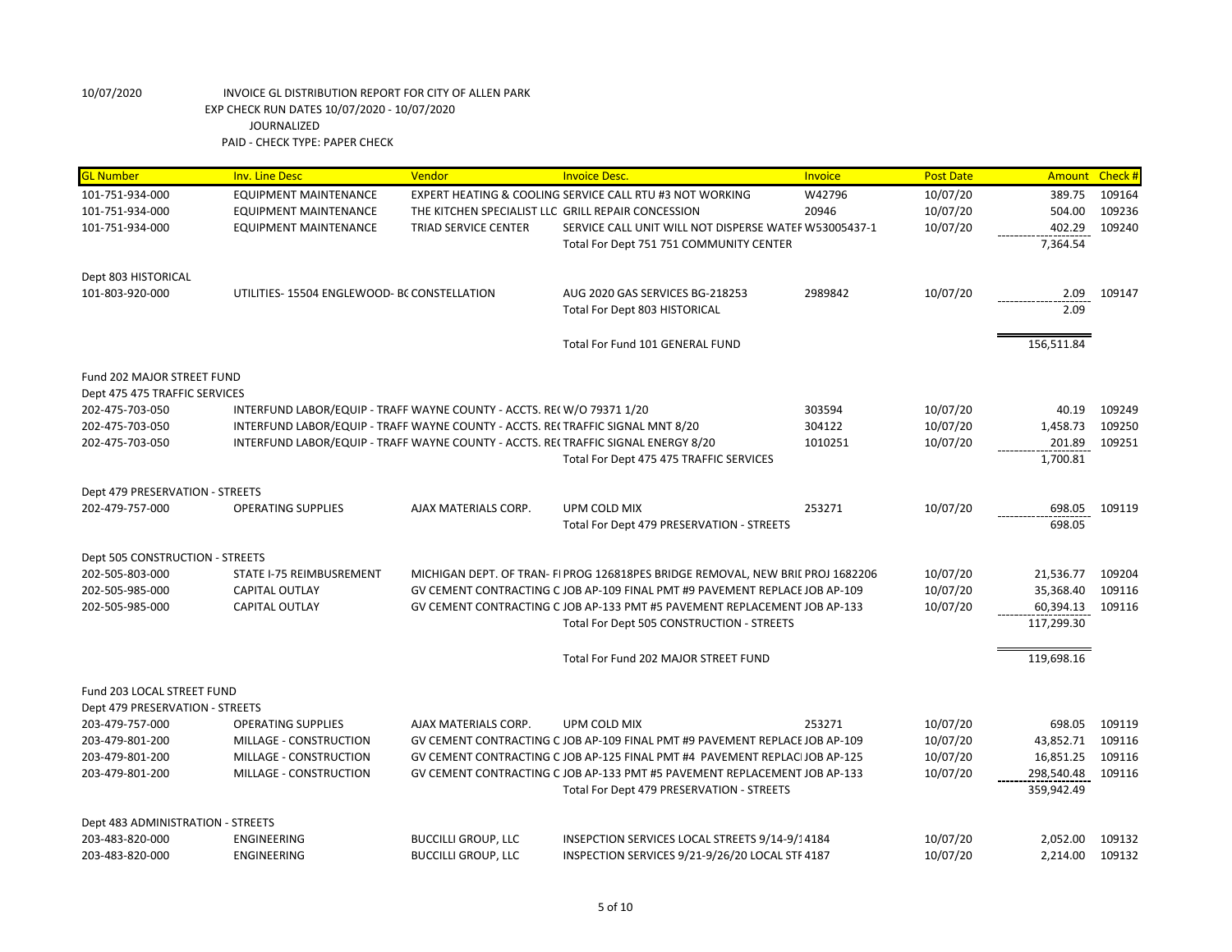| <b>GL Number</b>                  | <b>Inv. Line Desc</b>                                                              | Vendor                      | <b>Invoice Desc.</b>                                                            | Invoice | <b>Post Date</b> | <b>Amount</b> | Check # |
|-----------------------------------|------------------------------------------------------------------------------------|-----------------------------|---------------------------------------------------------------------------------|---------|------------------|---------------|---------|
| 101-751-934-000                   | EQUIPMENT MAINTENANCE                                                              |                             | EXPERT HEATING & COOLING SERVICE CALL RTU #3 NOT WORKING                        | W42796  | 10/07/20         | 389.75        | 109164  |
| 101-751-934-000                   | <b>EQUIPMENT MAINTENANCE</b>                                                       |                             | THE KITCHEN SPECIALIST LLC GRILL REPAIR CONCESSION                              | 20946   | 10/07/20         | 504.00        | 109236  |
| 101-751-934-000                   | <b>EQUIPMENT MAINTENANCE</b>                                                       | <b>TRIAD SERVICE CENTER</b> | SERVICE CALL UNIT WILL NOT DISPERSE WATER W53005437-1                           |         | 10/07/20         | 402.29        | 109240  |
|                                   |                                                                                    |                             | Total For Dept 751 751 COMMUNITY CENTER                                         |         |                  | 7,364.54      |         |
| Dept 803 HISTORICAL               |                                                                                    |                             |                                                                                 |         |                  |               |         |
| 101-803-920-000                   | UTILITIES-15504 ENGLEWOOD- BC CONSTELLATION                                        |                             | AUG 2020 GAS SERVICES BG-218253                                                 | 2989842 | 10/07/20         | 2.09          | 109147  |
|                                   |                                                                                    |                             | Total For Dept 803 HISTORICAL                                                   |         |                  | 2.09          |         |
|                                   |                                                                                    |                             |                                                                                 |         |                  |               |         |
|                                   |                                                                                    |                             | Total For Fund 101 GENERAL FUND                                                 |         |                  | 156,511.84    |         |
| Fund 202 MAJOR STREET FUND        |                                                                                    |                             |                                                                                 |         |                  |               |         |
| Dept 475 475 TRAFFIC SERVICES     |                                                                                    |                             |                                                                                 |         |                  |               |         |
| 202-475-703-050                   | INTERFUND LABOR/EQUIP - TRAFF WAYNE COUNTY - ACCTS. RE(W/O 79371 1/20              |                             |                                                                                 | 303594  | 10/07/20         | 40.19         | 109249  |
| 202-475-703-050                   | INTERFUND LABOR/EQUIP - TRAFF WAYNE COUNTY - ACCTS. REI TRAFFIC SIGNAL MNT 8/20    |                             |                                                                                 | 304122  | 10/07/20         | 1,458.73      | 109250  |
| 202-475-703-050                   | INTERFUND LABOR/EQUIP - TRAFF WAYNE COUNTY - ACCTS. REI TRAFFIC SIGNAL ENERGY 8/20 |                             |                                                                                 | 1010251 | 10/07/20         | 201.89        | 109251  |
|                                   |                                                                                    |                             | Total For Dept 475 475 TRAFFIC SERVICES                                         |         |                  | 1,700.81      |         |
| Dept 479 PRESERVATION - STREETS   |                                                                                    |                             |                                                                                 |         |                  |               |         |
| 202-479-757-000                   | <b>OPERATING SUPPLIES</b>                                                          | AJAX MATERIALS CORP.        | UPM COLD MIX                                                                    | 253271  | 10/07/20         | 698.05        | 109119  |
|                                   |                                                                                    |                             | Total For Dept 479 PRESERVATION - STREETS                                       |         |                  | 698.05        |         |
| Dept 505 CONSTRUCTION - STREETS   |                                                                                    |                             |                                                                                 |         |                  |               |         |
| 202-505-803-000                   | STATE I-75 REIMBUSREMENT                                                           |                             | MICHIGAN DEPT. OF TRAN- FI PROG 126818PES BRIDGE REMOVAL, NEW BRIL PROJ 1682206 |         | 10/07/20         | 21,536.77     | 109204  |
| 202-505-985-000                   | CAPITAL OUTLAY                                                                     |                             | GV CEMENT CONTRACTING C JOB AP-109 FINAL PMT #9 PAVEMENT REPLACE JOB AP-109     |         | 10/07/20         | 35,368.40     | 109116  |
| 202-505-985-000                   | <b>CAPITAL OUTLAY</b>                                                              |                             | GV CEMENT CONTRACTING C JOB AP-133 PMT #5 PAVEMENT REPLACEMENT JOB AP-133       |         | 10/07/20         | 60,394.13     | 109116  |
|                                   |                                                                                    |                             | Total For Dept 505 CONSTRUCTION - STREETS                                       |         |                  | 117,299.30    |         |
|                                   |                                                                                    |                             | Total For Fund 202 MAJOR STREET FUND                                            |         |                  | 119,698.16    |         |
| Fund 203 LOCAL STREET FUND        |                                                                                    |                             |                                                                                 |         |                  |               |         |
| Dept 479 PRESERVATION - STREETS   |                                                                                    |                             |                                                                                 |         |                  |               |         |
| 203-479-757-000                   | <b>OPERATING SUPPLIES</b>                                                          | AJAX MATERIALS CORP.        | UPM COLD MIX                                                                    | 253271  | 10/07/20         | 698.05        | 109119  |
| 203-479-801-200                   | MILLAGE - CONSTRUCTION                                                             |                             | GV CEMENT CONTRACTING C JOB AP-109 FINAL PMT #9 PAVEMENT REPLACE JOB AP-109     |         | 10/07/20         | 43,852.71     | 109116  |
| 203-479-801-200                   | MILLAGE - CONSTRUCTION                                                             |                             | GV CEMENT CONTRACTING C JOB AP-125 FINAL PMT #4 PAVEMENT REPLACIJOB AP-125      |         | 10/07/20         | 16,851.25     | 109116  |
| 203-479-801-200                   | MILLAGE - CONSTRUCTION                                                             |                             | GV CEMENT CONTRACTING C JOB AP-133 PMT #5 PAVEMENT REPLACEMENT JOB AP-133       |         | 10/07/20         | 298,540.48    | 109116  |
|                                   |                                                                                    |                             | Total For Dept 479 PRESERVATION - STREETS                                       |         |                  | 359,942.49    |         |
| Dept 483 ADMINISTRATION - STREETS |                                                                                    |                             |                                                                                 |         |                  |               |         |
| 203-483-820-000                   | <b>ENGINEERING</b>                                                                 | <b>BUCCILLI GROUP, LLC</b>  | INSEPCTION SERVICES LOCAL STREETS 9/14-9/14184                                  |         | 10/07/20         | 2,052.00      | 109132  |
| 203-483-820-000                   | <b>ENGINEERING</b>                                                                 | <b>BUCCILLI GROUP, LLC</b>  | INSPECTION SERVICES 9/21-9/26/20 LOCAL STF 4187                                 |         | 10/07/20         | 2,214.00      | 109132  |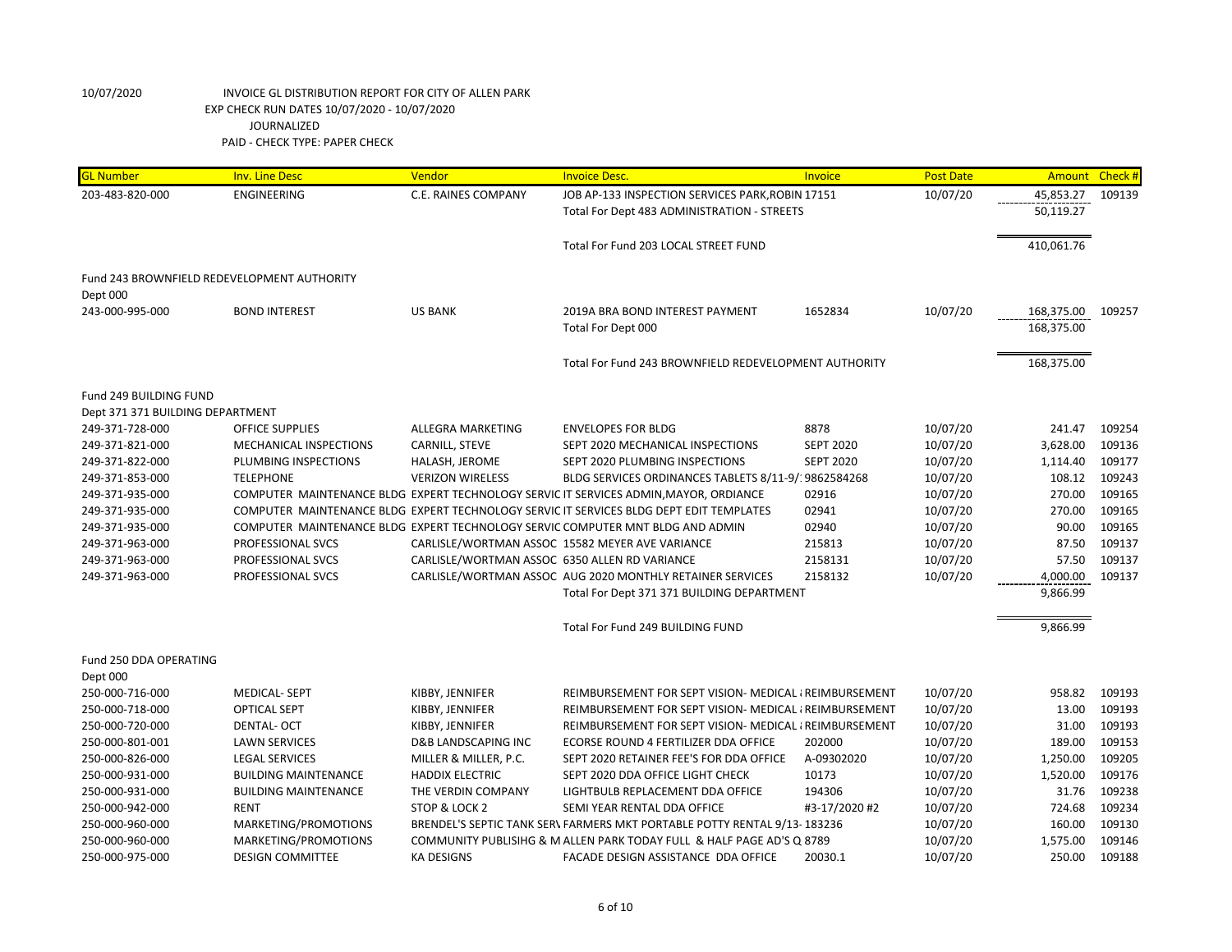| <b>GL Number</b>                 | <b>Inv. Line Desc</b>                       | Vendor                                        | <b>Invoice Desc</b>                                                                     | Invoice          | <b>Post Date</b> | Amount     | Check# |
|----------------------------------|---------------------------------------------|-----------------------------------------------|-----------------------------------------------------------------------------------------|------------------|------------------|------------|--------|
| 203-483-820-000                  | ENGINEERING                                 | C.E. RAINES COMPANY                           | JOB AP-133 INSPECTION SERVICES PARK, ROBIN 17151                                        |                  | 10/07/20         | 45,853.27  | 109139 |
|                                  |                                             |                                               | Total For Dept 483 ADMINISTRATION - STREETS                                             |                  |                  | 50,119.27  |        |
|                                  |                                             |                                               |                                                                                         |                  |                  |            |        |
|                                  |                                             |                                               | Total For Fund 203 LOCAL STREET FUND                                                    |                  |                  | 410,061.76 |        |
|                                  |                                             |                                               |                                                                                         |                  |                  |            |        |
|                                  | Fund 243 BROWNFIELD REDEVELOPMENT AUTHORITY |                                               |                                                                                         |                  |                  |            |        |
| Dept 000                         |                                             |                                               |                                                                                         |                  |                  |            |        |
| 243-000-995-000                  | <b>BOND INTEREST</b>                        | <b>US BANK</b>                                | 2019A BRA BOND INTEREST PAYMENT                                                         | 1652834          | 10/07/20         | 168,375.00 | 109257 |
|                                  |                                             |                                               | Total For Dept 000                                                                      |                  |                  | 168,375.00 |        |
|                                  |                                             |                                               |                                                                                         |                  |                  |            |        |
|                                  |                                             |                                               | Total For Fund 243 BROWNFIELD REDEVELOPMENT AUTHORITY                                   |                  |                  | 168,375.00 |        |
| Fund 249 BUILDING FUND           |                                             |                                               |                                                                                         |                  |                  |            |        |
| Dept 371 371 BUILDING DEPARTMENT |                                             |                                               |                                                                                         |                  |                  |            |        |
| 249-371-728-000                  | <b>OFFICE SUPPLIES</b>                      | ALLEGRA MARKETING                             | <b>ENVELOPES FOR BLDG</b>                                                               | 8878             | 10/07/20         | 241.47     | 109254 |
| 249-371-821-000                  | MECHANICAL INSPECTIONS                      | CARNILL, STEVE                                | SEPT 2020 MECHANICAL INSPECTIONS                                                        | <b>SEPT 2020</b> | 10/07/20         | 3,628.00   | 109136 |
| 249-371-822-000                  | PLUMBING INSPECTIONS                        | HALASH, JEROME                                | SEPT 2020 PLUMBING INSPECTIONS                                                          | <b>SEPT 2020</b> | 10/07/20         | 1,114.40   | 109177 |
| 249-371-853-000                  | <b>TELEPHONE</b>                            | <b>VERIZON WIRELESS</b>                       | BLDG SERVICES ORDINANCES TABLETS 8/11-9/19862584268                                     |                  | 10/07/20         | 108.12     | 109243 |
| 249-371-935-000                  |                                             |                                               | COMPUTER MAINTENANCE BLDG EXPERT TECHNOLOGY SERVIC IT SERVICES ADMIN, MAYOR, ORDIANCE   | 02916            | 10/07/20         | 270.00     | 109165 |
| 249-371-935-000                  |                                             |                                               | COMPUTER MAINTENANCE BLDG EXPERT TECHNOLOGY SERVIC IT SERVICES BLDG DEPT EDIT TEMPLATES | 02941            | 10/07/20         | 270.00     | 109165 |
| 249-371-935-000                  |                                             |                                               | COMPUTER MAINTENANCE BLDG EXPERT TECHNOLOGY SERVIC COMPUTER MNT BLDG AND ADMIN          | 02940            | 10/07/20         | 90.00      | 109165 |
| 249-371-963-000                  | PROFESSIONAL SVCS                           |                                               | CARLISLE/WORTMAN ASSOC 15582 MEYER AVE VARIANCE                                         | 215813           | 10/07/20         | 87.50      | 109137 |
| 249-371-963-000                  | PROFESSIONAL SVCS                           | CARLISLE/WORTMAN ASSOC 6350 ALLEN RD VARIANCE |                                                                                         | 2158131          | 10/07/20         | 57.50      | 109137 |
| 249-371-963-000                  | PROFESSIONAL SVCS                           |                                               | CARLISLE/WORTMAN ASSOC AUG 2020 MONTHLY RETAINER SERVICES                               | 2158132          | 10/07/20         | 4,000.00   | 109137 |
|                                  |                                             |                                               | Total For Dept 371 371 BUILDING DEPARTMENT                                              |                  |                  | 9,866.99   |        |
|                                  |                                             |                                               |                                                                                         |                  |                  |            |        |
|                                  |                                             |                                               | Total For Fund 249 BUILDING FUND                                                        |                  |                  | 9,866.99   |        |
| Fund 250 DDA OPERATING           |                                             |                                               |                                                                                         |                  |                  |            |        |
| Dept 000                         |                                             |                                               |                                                                                         |                  |                  |            |        |
| 250-000-716-000                  | <b>MEDICAL-SEPT</b>                         | KIBBY, JENNIFER                               | REIMBURSEMENT FOR SEPT VISION- MEDICAL { REIMBURSEMENT                                  |                  | 10/07/20         | 958.82     | 109193 |
| 250-000-718-000                  | <b>OPTICAL SEPT</b>                         | KIBBY, JENNIFER                               | REIMBURSEMENT FOR SEPT VISION- MEDICAL {REIMBURSEMENT                                   |                  | 10/07/20         | 13.00      | 109193 |
| 250-000-720-000                  | <b>DENTAL-OCT</b>                           | KIBBY, JENNIFER                               | REIMBURSEMENT FOR SEPT VISION- MEDICAL {REIMBURSEMENT                                   |                  | 10/07/20         | 31.00      | 109193 |
| 250-000-801-001                  | <b>LAWN SERVICES</b>                        | <b>D&amp;B LANDSCAPING INC</b>                | ECORSE ROUND 4 FERTILIZER DDA OFFICE                                                    | 202000           | 10/07/20         | 189.00     | 109153 |
| 250-000-826-000                  | <b>LEGAL SERVICES</b>                       | MILLER & MILLER, P.C.                         | SEPT 2020 RETAINER FEE'S FOR DDA OFFICE                                                 | A-09302020       | 10/07/20         | 1,250.00   | 109205 |
| 250-000-931-000                  | <b>BUILDING MAINTENANCE</b>                 | <b>HADDIX ELECTRIC</b>                        | SEPT 2020 DDA OFFICE LIGHT CHECK                                                        | 10173            | 10/07/20         | 1,520.00   | 109176 |
| 250-000-931-000                  | <b>BUILDING MAINTENANCE</b>                 | THE VERDIN COMPANY                            | LIGHTBULB REPLACEMENT DDA OFFICE                                                        | 194306           | 10/07/20         | 31.76      | 109238 |
| 250-000-942-000                  | <b>RENT</b>                                 | STOP & LOCK 2                                 | SEMI YEAR RENTAL DDA OFFICE                                                             | #3-17/2020 #2    | 10/07/20         | 724.68     | 109234 |
| 250-000-960-000                  | MARKETING/PROMOTIONS                        |                                               | BRENDEL'S SEPTIC TANK SER\ FARMERS MKT PORTABLE POTTY RENTAL 9/13-183236                |                  | 10/07/20         | 160.00     | 109130 |
| 250-000-960-000                  | MARKETING/PROMOTIONS                        |                                               | COMMUNITY PUBLISIHG & M ALLEN PARK TODAY FULL & HALF PAGE AD'S Q 8789                   |                  | 10/07/20         | 1,575.00   | 109146 |
| 250-000-975-000                  | <b>DESIGN COMMITTEE</b>                     | <b>KA DESIGNS</b>                             | FACADE DESIGN ASSISTANCE DDA OFFICE                                                     | 20030.1          | 10/07/20         | 250.00     | 109188 |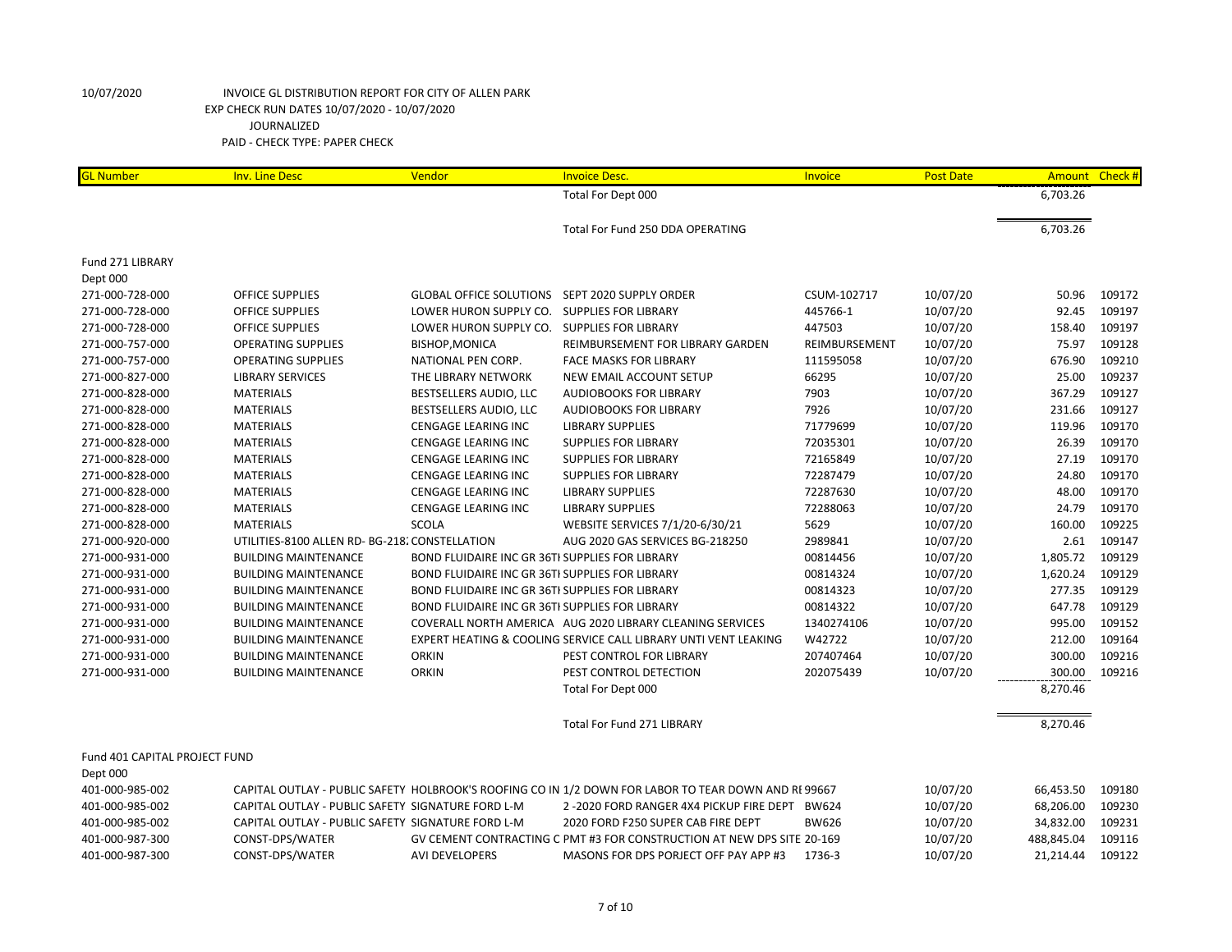| <b>GL Number</b>              | <b>Inv. Line Desc</b>                             | Vendor                                          | <b>Invoice Desc.</b>                                                                                | Invoice       | <b>Post Date</b> |            | Amount Check # |
|-------------------------------|---------------------------------------------------|-------------------------------------------------|-----------------------------------------------------------------------------------------------------|---------------|------------------|------------|----------------|
|                               |                                                   |                                                 | Total For Dept 000                                                                                  |               |                  | 6,703.26   |                |
|                               |                                                   |                                                 |                                                                                                     |               |                  |            |                |
|                               |                                                   |                                                 | Total For Fund 250 DDA OPERATING                                                                    |               |                  | 6,703.26   |                |
| Fund 271 LIBRARY              |                                                   |                                                 |                                                                                                     |               |                  |            |                |
| Dept 000                      |                                                   |                                                 |                                                                                                     |               |                  |            |                |
| 271-000-728-000               | <b>OFFICE SUPPLIES</b>                            | GLOBAL OFFICE SOLUTIONS SEPT 2020 SUPPLY ORDER  |                                                                                                     | CSUM-102717   | 10/07/20         | 50.96      | 109172         |
| 271-000-728-000               | OFFICE SUPPLIES                                   | LOWER HURON SUPPLY CO.                          | <b>SUPPLIES FOR LIBRARY</b>                                                                         | 445766-1      | 10/07/20         | 92.45      | 109197         |
| 271-000-728-000               | OFFICE SUPPLIES                                   | LOWER HURON SUPPLY CO.                          | <b>SUPPLIES FOR LIBRARY</b>                                                                         | 447503        | 10/07/20         | 158.40     | 109197         |
| 271-000-757-000               | <b>OPERATING SUPPLIES</b>                         | <b>BISHOP, MONICA</b>                           | REIMBURSEMENT FOR LIBRARY GARDEN                                                                    | REIMBURSEMENT | 10/07/20         | 75.97      | 109128         |
| 271-000-757-000               | <b>OPERATING SUPPLIES</b>                         | NATIONAL PEN CORP.                              | <b>FACE MASKS FOR LIBRARY</b>                                                                       | 111595058     | 10/07/20         | 676.90     | 109210         |
| 271-000-827-000               | <b>LIBRARY SERVICES</b>                           | THE LIBRARY NETWORK                             | NEW EMAIL ACCOUNT SETUP                                                                             | 66295         | 10/07/20         | 25.00      | 109237         |
| 271-000-828-000               | <b>MATERIALS</b>                                  | BESTSELLERS AUDIO, LLC                          | <b>AUDIOBOOKS FOR LIBRARY</b>                                                                       | 7903          | 10/07/20         | 367.29     | 109127         |
| 271-000-828-000               | <b>MATERIALS</b>                                  | BESTSELLERS AUDIO, LLC                          | <b>AUDIOBOOKS FOR LIBRARY</b>                                                                       | 7926          | 10/07/20         | 231.66     | 109127         |
| 271-000-828-000               | <b>MATERIALS</b>                                  | <b>CENGAGE LEARING INC</b>                      | <b>LIBRARY SUPPLIES</b>                                                                             | 71779699      | 10/07/20         | 119.96     | 109170         |
| 271-000-828-000               | <b>MATERIALS</b>                                  | <b>CENGAGE LEARING INC</b>                      | <b>SUPPLIES FOR LIBRARY</b>                                                                         | 72035301      | 10/07/20         | 26.39      | 109170         |
| 271-000-828-000               | <b>MATERIALS</b>                                  | <b>CENGAGE LEARING INC</b>                      | <b>SUPPLIES FOR LIBRARY</b>                                                                         | 72165849      | 10/07/20         | 27.19      | 109170         |
| 271-000-828-000               | <b>MATERIALS</b>                                  | <b>CENGAGE LEARING INC</b>                      | <b>SUPPLIES FOR LIBRARY</b>                                                                         | 72287479      | 10/07/20         | 24.80      | 109170         |
| 271-000-828-000               | <b>MATERIALS</b>                                  | <b>CENGAGE LEARING INC</b>                      | <b>LIBRARY SUPPLIES</b>                                                                             | 72287630      | 10/07/20         | 48.00      | 109170         |
| 271-000-828-000               | <b>MATERIALS</b>                                  | <b>CENGAGE LEARING INC</b>                      | <b>LIBRARY SUPPLIES</b>                                                                             | 72288063      | 10/07/20         | 24.79      | 109170         |
| 271-000-828-000               | <b>MATERIALS</b>                                  | <b>SCOLA</b>                                    | WEBSITE SERVICES 7/1/20-6/30/21                                                                     | 5629          | 10/07/20         | 160.00     | 109225         |
| 271-000-920-000               | UTILITIES-8100 ALLEN RD- BG-218. CONSTELLATION    |                                                 | AUG 2020 GAS SERVICES BG-218250                                                                     | 2989841       | 10/07/20         | 2.61       | 109147         |
| 271-000-931-000               | <b>BUILDING MAINTENANCE</b>                       | BOND FLUIDAIRE INC GR 36TI SUPPLIES FOR LIBRARY |                                                                                                     | 00814456      | 10/07/20         | 1,805.72   | 109129         |
| 271-000-931-000               | <b>BUILDING MAINTENANCE</b>                       | BOND FLUIDAIRE INC GR 36TI SUPPLIES FOR LIBRARY |                                                                                                     | 00814324      | 10/07/20         | 1,620.24   | 109129         |
| 271-000-931-000               | <b>BUILDING MAINTENANCE</b>                       | BOND FLUIDAIRE INC GR 36TI SUPPLIES FOR LIBRARY |                                                                                                     | 00814323      | 10/07/20         | 277.35     | 109129         |
| 271-000-931-000               | <b>BUILDING MAINTENANCE</b>                       | BOND FLUIDAIRE INC GR 36TI SUPPLIES FOR LIBRARY |                                                                                                     | 00814322      | 10/07/20         | 647.78     | 109129         |
| 271-000-931-000               | <b>BUILDING MAINTENANCE</b>                       |                                                 | COVERALL NORTH AMERICA AUG 2020 LIBRARY CLEANING SERVICES                                           | 1340274106    | 10/07/20         | 995.00     | 109152         |
| 271-000-931-000               | <b>BUILDING MAINTENANCE</b>                       |                                                 | EXPERT HEATING & COOLING SERVICE CALL LIBRARY UNTI VENT LEAKING                                     | W42722        | 10/07/20         | 212.00     | 109164         |
| 271-000-931-000               | <b>BUILDING MAINTENANCE</b>                       | <b>ORKIN</b>                                    | PEST CONTROL FOR LIBRARY                                                                            | 207407464     | 10/07/20         | 300.00     | 109216         |
| 271-000-931-000               | <b>BUILDING MAINTENANCE</b>                       | <b>ORKIN</b>                                    | PEST CONTROL DETECTION                                                                              | 202075439     | 10/07/20         | 300.00     | 109216         |
|                               |                                                   |                                                 | Total For Dept 000                                                                                  |               |                  | 8,270.46   |                |
|                               |                                                   |                                                 | <b>Total For Fund 271 LIBRARY</b>                                                                   |               |                  | 8,270.46   |                |
| Fund 401 CAPITAL PROJECT FUND |                                                   |                                                 |                                                                                                     |               |                  |            |                |
| Dept 000                      |                                                   |                                                 |                                                                                                     |               |                  |            |                |
| 401-000-985-002               |                                                   |                                                 | CAPITAL OUTLAY - PUBLIC SAFETY HOLBROOK'S ROOFING CO IN 1/2 DOWN FOR LABOR TO TEAR DOWN AND RE99667 |               | 10/07/20         | 66,453.50  | 109180         |
| 401-000-985-002               | CAPITAL OUTLAY - PUBLIC SAFETY SIGNATURE FORD L-M |                                                 | 2-2020 FORD RANGER 4X4 PICKUP FIRE DEPT BW624                                                       |               | 10/07/20         | 68,206.00  | 109230         |
| 401-000-985-002               | CAPITAL OUTLAY - PUBLIC SAFETY SIGNATURE FORD L-M |                                                 | 2020 FORD F250 SUPER CAB FIRE DEPT                                                                  | <b>BW626</b>  | 10/07/20         | 34,832.00  | 109231         |
| 401-000-987-300               | CONST-DPS/WATER                                   |                                                 | GV CEMENT CONTRACTING C PMT #3 FOR CONSTRUCTION AT NEW DPS SITE 20-169                              |               | 10/07/20         | 488,845.04 | 109116         |
| 401-000-987-300               | CONST-DPS/WATER                                   | <b>AVI DEVELOPERS</b>                           | MASONS FOR DPS PORJECT OFF PAY APP #3                                                               | 1736-3        | 10/07/20         | 21.214.44  | 109122         |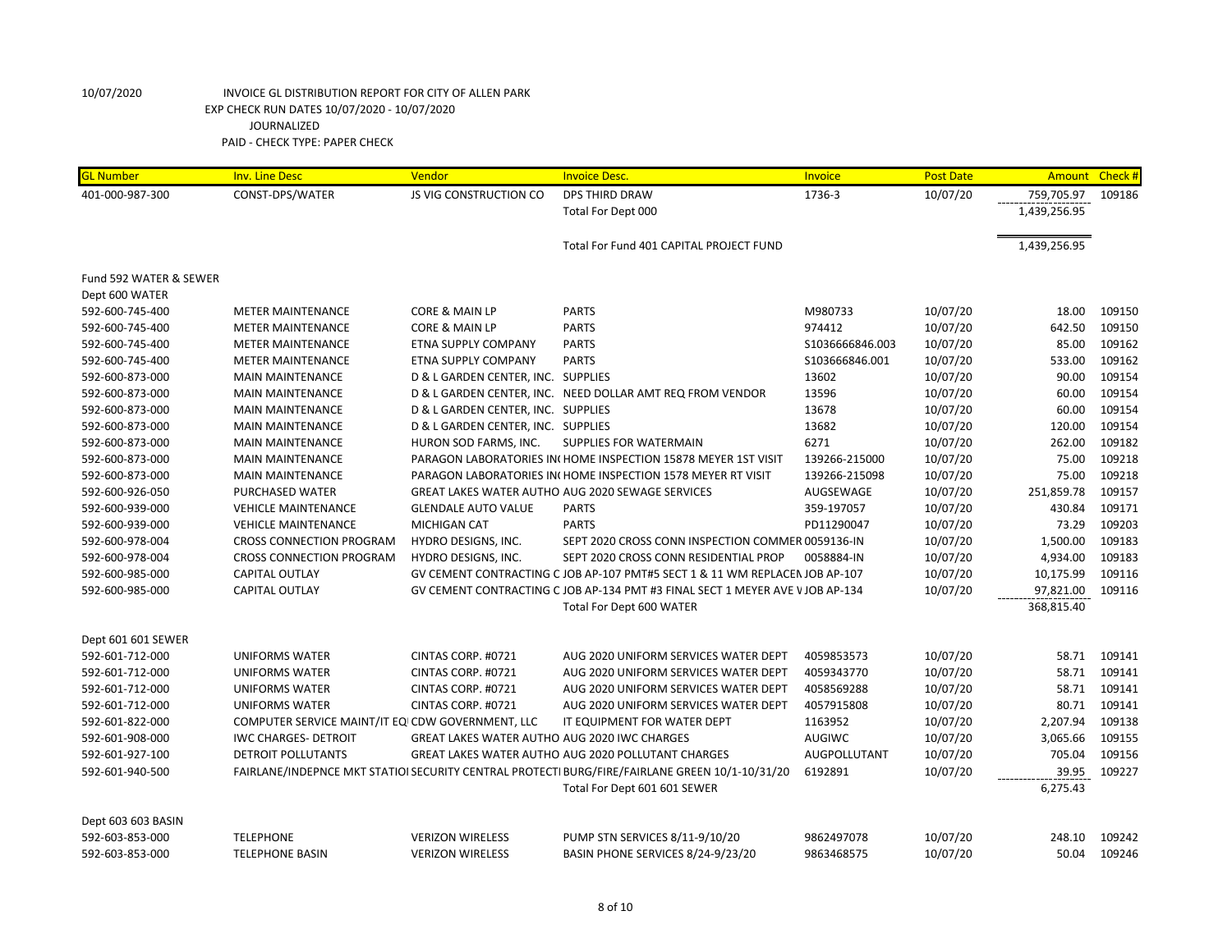| <b>GL Number</b>       | <b>Inv. Line Desc</b>                            | Vendor                                              | <b>Invoice Desc.</b>                                                                           | Invoice          | <b>Post Date</b> |              | Amount Check # |
|------------------------|--------------------------------------------------|-----------------------------------------------------|------------------------------------------------------------------------------------------------|------------------|------------------|--------------|----------------|
| 401-000-987-300        | CONST-DPS/WATER                                  | JS VIG CONSTRUCTION CO                              | <b>DPS THIRD DRAW</b>                                                                          | 1736-3           | 10/07/20         | 759,705.97   | 109186         |
|                        |                                                  |                                                     | Total For Dept 000                                                                             |                  |                  | 1,439,256.95 |                |
|                        |                                                  |                                                     | Total For Fund 401 CAPITAL PROJECT FUND                                                        |                  |                  | 1,439,256.95 |                |
| Fund 592 WATER & SEWER |                                                  |                                                     |                                                                                                |                  |                  |              |                |
| Dept 600 WATER         |                                                  |                                                     |                                                                                                |                  |                  |              |                |
| 592-600-745-400        | <b>METER MAINTENANCE</b>                         | <b>CORE &amp; MAIN LP</b>                           | <b>PARTS</b>                                                                                   | M980733          | 10/07/20         | 18.00        | 109150         |
| 592-600-745-400        | <b>METER MAINTENANCE</b>                         | CORE & MAIN LP                                      | <b>PARTS</b>                                                                                   | 974412           | 10/07/20         | 642.50       | 109150         |
| 592-600-745-400        | <b>METER MAINTENANCE</b>                         | ETNA SUPPLY COMPANY                                 | <b>PARTS</b>                                                                                   | \$1036666846.003 | 10/07/20         | 85.00        | 109162         |
| 592-600-745-400        | <b>METER MAINTENANCE</b>                         | ETNA SUPPLY COMPANY                                 | <b>PARTS</b>                                                                                   | S103666846.001   | 10/07/20         | 533.00       | 109162         |
| 592-600-873-000        | <b>MAIN MAINTENANCE</b>                          | D & L GARDEN CENTER, INC. SUPPLIES                  |                                                                                                | 13602            | 10/07/20         | 90.00        | 109154         |
| 592-600-873-000        | <b>MAIN MAINTENANCE</b>                          |                                                     | D & L GARDEN CENTER, INC. NEED DOLLAR AMT REQ FROM VENDOR                                      | 13596            | 10/07/20         | 60.00        | 109154         |
| 592-600-873-000        | <b>MAIN MAINTENANCE</b>                          | D & L GARDEN CENTER, INC. SUPPLIES                  |                                                                                                | 13678            | 10/07/20         | 60.00        | 109154         |
| 592-600-873-000        | <b>MAIN MAINTENANCE</b>                          | D & L GARDEN CENTER, INC. SUPPLIES                  |                                                                                                | 13682            | 10/07/20         | 120.00       | 109154         |
| 592-600-873-000        | <b>MAIN MAINTENANCE</b>                          | HURON SOD FARMS, INC.                               | SUPPLIES FOR WATERMAIN                                                                         | 6271             | 10/07/20         | 262.00       | 109182         |
| 592-600-873-000        | <b>MAIN MAINTENANCE</b>                          |                                                     | PARAGON LABORATORIES IN HOME INSPECTION 15878 MEYER 1ST VISIT                                  | 139266-215000    | 10/07/20         | 75.00        | 109218         |
| 592-600-873-000        | <b>MAIN MAINTENANCE</b>                          |                                                     | PARAGON LABORATORIES IN HOME INSPECTION 1578 MEYER RT VISIT                                    | 139266-215098    | 10/07/20         | 75.00        | 109218         |
| 592-600-926-050        | PURCHASED WATER                                  |                                                     | GREAT LAKES WATER AUTHO AUG 2020 SEWAGE SERVICES                                               | AUGSEWAGE        | 10/07/20         | 251,859.78   | 109157         |
| 592-600-939-000        | <b>VEHICLE MAINTENANCE</b>                       | <b>GLENDALE AUTO VALUE</b>                          | <b>PARTS</b>                                                                                   | 359-197057       | 10/07/20         | 430.84       | 109171         |
| 592-600-939-000        | <b>VEHICLE MAINTENANCE</b>                       | <b>MICHIGAN CAT</b>                                 | <b>PARTS</b>                                                                                   | PD11290047       | 10/07/20         | 73.29        | 109203         |
| 592-600-978-004        | <b>CROSS CONNECTION PROGRAM</b>                  | HYDRO DESIGNS, INC.                                 | SEPT 2020 CROSS CONN INSPECTION COMMER 0059136-IN                                              |                  | 10/07/20         | 1,500.00     | 109183         |
| 592-600-978-004        | <b>CROSS CONNECTION PROGRAM</b>                  | HYDRO DESIGNS, INC.                                 | SEPT 2020 CROSS CONN RESIDENTIAL PROP                                                          | 0058884-IN       | 10/07/20         | 4,934.00     | 109183         |
| 592-600-985-000        | CAPITAL OUTLAY                                   |                                                     | GV CEMENT CONTRACTING C JOB AP-107 PMT#5 SECT 1 & 11 WM REPLACEN JOB AP-107                    |                  | 10/07/20         | 10,175.99    | 109116         |
| 592-600-985-000        | <b>CAPITAL OUTLAY</b>                            |                                                     | GV CEMENT CONTRACTING C JOB AP-134 PMT #3 FINAL SECT 1 MEYER AVE V JOB AP-134                  |                  | 10/07/20         | 97,821.00    | 109116         |
|                        |                                                  |                                                     | Total For Dept 600 WATER                                                                       |                  |                  | 368,815.40   |                |
| Dept 601 601 SEWER     |                                                  |                                                     |                                                                                                |                  |                  |              |                |
| 592-601-712-000        | <b>UNIFORMS WATER</b>                            | CINTAS CORP. #0721                                  | AUG 2020 UNIFORM SERVICES WATER DEPT                                                           | 4059853573       | 10/07/20         | 58.71        | 109141         |
| 592-601-712-000        | <b>UNIFORMS WATER</b>                            | CINTAS CORP. #0721                                  | AUG 2020 UNIFORM SERVICES WATER DEPT                                                           | 4059343770       | 10/07/20         | 58.71        | 109141         |
| 592-601-712-000        | <b>UNIFORMS WATER</b>                            | CINTAS CORP. #0721                                  | AUG 2020 UNIFORM SERVICES WATER DEPT                                                           | 4058569288       | 10/07/20         | 58.71        | 109141         |
| 592-601-712-000        | <b>UNIFORMS WATER</b>                            | CINTAS CORP. #0721                                  | AUG 2020 UNIFORM SERVICES WATER DEPT                                                           | 4057915808       | 10/07/20         | 80.71        | 109141         |
| 592-601-822-000        | COMPUTER SERVICE MAINT/IT EQICDW GOVERNMENT, LLC |                                                     | IT EQUIPMENT FOR WATER DEPT                                                                    | 1163952          | 10/07/20         | 2,207.94     | 109138         |
| 592-601-908-000        | <b>IWC CHARGES- DETROIT</b>                      | <b>GREAT LAKES WATER AUTHO AUG 2020 IWC CHARGES</b> |                                                                                                | AUGIWC           | 10/07/20         | 3,065.66     | 109155         |
| 592-601-927-100        | DETROIT POLLUTANTS                               |                                                     | <b>GREAT LAKES WATER AUTHO AUG 2020 POLLUTANT CHARGES</b>                                      | AUGPOLLUTANT     | 10/07/20         | 705.04       | 109156         |
| 592-601-940-500        |                                                  |                                                     | FAIRLANE/INDEPNCE MKT STATIOI SECURITY CENTRAL PROTECTI BURG/FIRE/FAIRLANE GREEN 10/1-10/31/20 | 6192891          | 10/07/20         | 39.95        | 109227         |
|                        |                                                  |                                                     | Total For Dept 601 601 SEWER                                                                   |                  |                  | 6,275.43     |                |
| Dept 603 603 BASIN     |                                                  |                                                     |                                                                                                |                  |                  |              |                |
| 592-603-853-000        | <b>TELEPHONE</b>                                 | <b>VERIZON WIRELESS</b>                             | PUMP STN SERVICES 8/11-9/10/20                                                                 | 9862497078       | 10/07/20         | 248.10       | 109242         |
| 592-603-853-000        | <b>TELEPHONE BASIN</b>                           | <b>VERIZON WIRELESS</b>                             | BASIN PHONE SERVICES 8/24-9/23/20                                                              | 9863468575       | 10/07/20         | 50.04        | 109246         |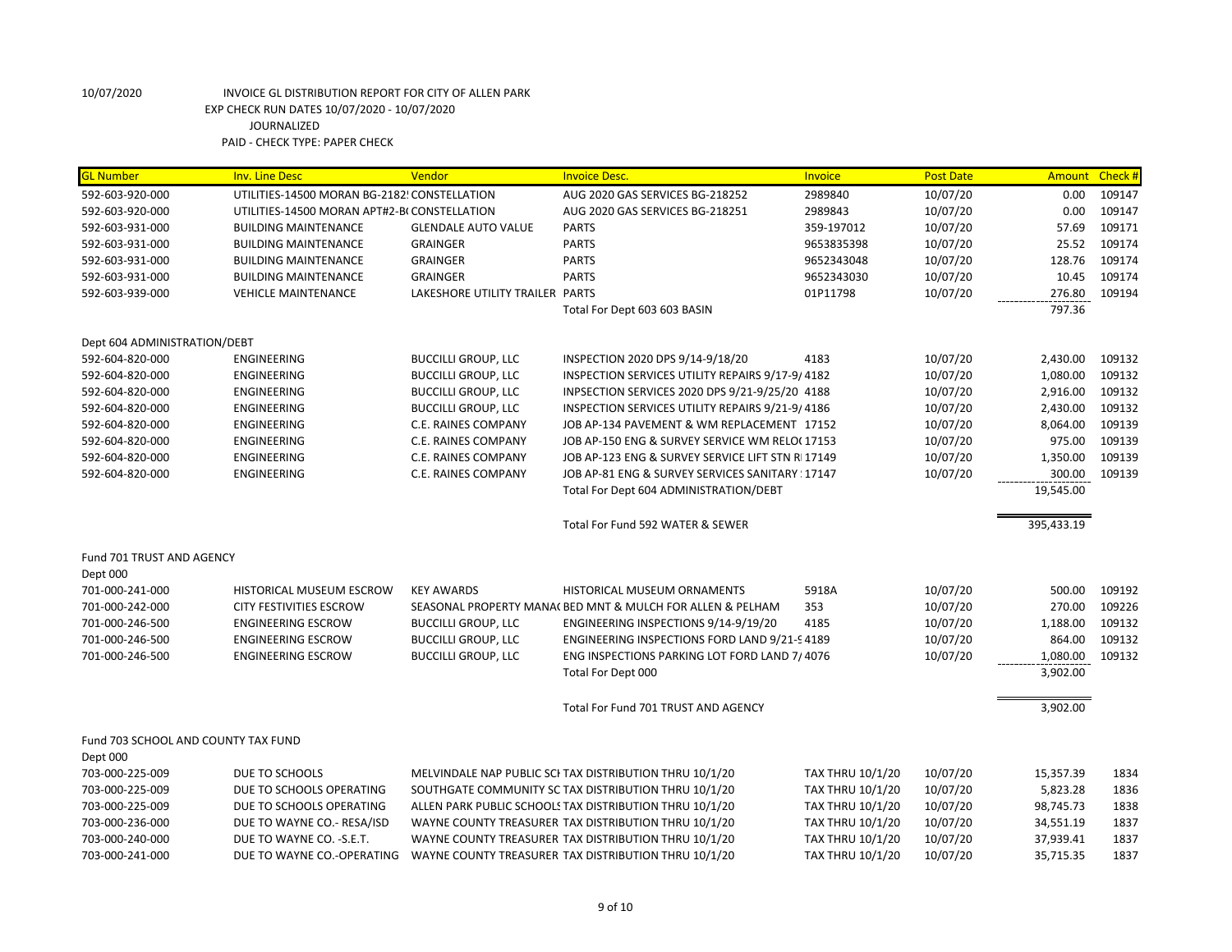| <b>GL Number</b>                    | <b>Inv. Line Desc</b>                        | Vendor                          | <b>Invoice Desc.</b>                                       | Invoice                 | <b>Post Date</b> | Amount     | Check # |
|-------------------------------------|----------------------------------------------|---------------------------------|------------------------------------------------------------|-------------------------|------------------|------------|---------|
| 592-603-920-000                     | UTILITIES-14500 MORAN BG-2182! CONSTELLATION |                                 | AUG 2020 GAS SERVICES BG-218252                            | 2989840                 | 10/07/20         | 0.00       | 109147  |
| 592-603-920-000                     | UTILITIES-14500 MORAN APT#2-BI CONSTELLATION |                                 | AUG 2020 GAS SERVICES BG-218251                            | 2989843                 | 10/07/20         | 0.00       | 109147  |
| 592-603-931-000                     | <b>BUILDING MAINTENANCE</b>                  | <b>GLENDALE AUTO VALUE</b>      | <b>PARTS</b>                                               | 359-197012              | 10/07/20         | 57.69      | 109171  |
| 592-603-931-000                     | <b>BUILDING MAINTENANCE</b>                  | <b>GRAINGER</b>                 | <b>PARTS</b>                                               | 9653835398              | 10/07/20         | 25.52      | 109174  |
| 592-603-931-000                     | <b>BUILDING MAINTENANCE</b>                  | <b>GRAINGER</b>                 | <b>PARTS</b>                                               | 9652343048              | 10/07/20         | 128.76     | 109174  |
| 592-603-931-000                     | <b>BUILDING MAINTENANCE</b>                  | <b>GRAINGER</b>                 | <b>PARTS</b>                                               | 9652343030              | 10/07/20         | 10.45      | 109174  |
| 592-603-939-000                     | <b>VEHICLE MAINTENANCE</b>                   | LAKESHORE UTILITY TRAILER PARTS |                                                            | 01P11798                | 10/07/20         | 276.80     | 109194  |
|                                     |                                              |                                 | Total For Dept 603 603 BASIN                               |                         |                  | 797.36     |         |
| Dept 604 ADMINISTRATION/DEBT        |                                              |                                 |                                                            |                         |                  |            |         |
| 592-604-820-000                     | <b>ENGINEERING</b>                           | <b>BUCCILLI GROUP, LLC</b>      | INSPECTION 2020 DPS 9/14-9/18/20                           | 4183                    | 10/07/20         | 2,430.00   | 109132  |
| 592-604-820-000                     | <b>ENGINEERING</b>                           | <b>BUCCILLI GROUP, LLC</b>      | INSPECTION SERVICES UTILITY REPAIRS 9/17-9/4182            |                         | 10/07/20         | 1,080.00   | 109132  |
| 592-604-820-000                     | <b>ENGINEERING</b>                           | <b>BUCCILLI GROUP, LLC</b>      | INPSECTION SERVICES 2020 DPS 9/21-9/25/20 4188             |                         | 10/07/20         | 2,916.00   | 109132  |
| 592-604-820-000                     | ENGINEERING                                  | <b>BUCCILLI GROUP, LLC</b>      | INSPECTION SERVICES UTILITY REPAIRS 9/21-9/4186            |                         | 10/07/20         | 2,430.00   | 109132  |
| 592-604-820-000                     | <b>ENGINEERING</b>                           | C.E. RAINES COMPANY             | JOB AP-134 PAVEMENT & WM REPLACEMENT 17152                 |                         | 10/07/20         | 8,064.00   | 109139  |
| 592-604-820-000                     | <b>ENGINEERING</b>                           | C.E. RAINES COMPANY             | JOB AP-150 ENG & SURVEY SERVICE WM RELO(17153              |                         | 10/07/20         | 975.00     | 109139  |
| 592-604-820-000                     | <b>ENGINEERING</b>                           | <b>C.E. RAINES COMPANY</b>      | JOB AP-123 ENG & SURVEY SERVICE LIFT STN RI 17149          |                         | 10/07/20         | 1,350.00   | 109139  |
| 592-604-820-000                     | ENGINEERING                                  | C.E. RAINES COMPANY             | JOB AP-81 ENG & SURVEY SERVICES SANITARY : 17147           |                         | 10/07/20         | 300.00     | 109139  |
|                                     |                                              |                                 | Total For Dept 604 ADMINISTRATION/DEBT                     |                         |                  | 19,545.00  |         |
|                                     |                                              |                                 | Total For Fund 592 WATER & SEWER                           |                         |                  | 395,433.19 |         |
| Fund 701 TRUST AND AGENCY           |                                              |                                 |                                                            |                         |                  |            |         |
| Dept 000                            |                                              |                                 |                                                            |                         |                  |            |         |
| 701-000-241-000                     | HISTORICAL MUSEUM ESCROW                     | <b>KEY AWARDS</b>               | HISTORICAL MUSEUM ORNAMENTS                                | 5918A                   | 10/07/20         | 500.00     | 109192  |
| 701-000-242-000                     | CITY FESTIVITIES ESCROW                      |                                 | SEASONAL PROPERTY MANA( BED MNT & MULCH FOR ALLEN & PELHAM | 353                     | 10/07/20         | 270.00     | 109226  |
| 701-000-246-500                     | <b>ENGINEERING ESCROW</b>                    | <b>BUCCILLI GROUP, LLC</b>      | ENGINEERING INSPECTIONS 9/14-9/19/20                       | 4185                    | 10/07/20         | 1,188.00   | 109132  |
| 701-000-246-500                     | <b>ENGINEERING ESCROW</b>                    | <b>BUCCILLI GROUP, LLC</b>      | ENGINEERING INSPECTIONS FORD LAND 9/21-94189               |                         | 10/07/20         | 864.00     | 109132  |
| 701-000-246-500                     | <b>ENGINEERING ESCROW</b>                    | <b>BUCCILLI GROUP, LLC</b>      | ENG INSPECTIONS PARKING LOT FORD LAND 7/4076               |                         | 10/07/20         | 1,080.00   | 109132  |
|                                     |                                              |                                 | Total For Dept 000                                         |                         |                  | 3,902.00   |         |
|                                     |                                              |                                 | Total For Fund 701 TRUST AND AGENCY                        |                         |                  | 3,902.00   |         |
| Fund 703 SCHOOL AND COUNTY TAX FUND |                                              |                                 |                                                            |                         |                  |            |         |
| Dept 000                            |                                              |                                 |                                                            |                         |                  |            |         |
| 703-000-225-009                     | DUE TO SCHOOLS                               |                                 | MELVINDALE NAP PUBLIC SCI TAX DISTRIBUTION THRU 10/1/20    | TAX THRU 10/1/20        | 10/07/20         | 15,357.39  | 1834    |
| 703-000-225-009                     | DUE TO SCHOOLS OPERATING                     |                                 | SOUTHGATE COMMUNITY SC TAX DISTRIBUTION THRU 10/1/20       | <b>TAX THRU 10/1/20</b> | 10/07/20         | 5,823.28   | 1836    |
| 703-000-225-009                     | DUE TO SCHOOLS OPERATING                     |                                 | ALLEN PARK PUBLIC SCHOOLS TAX DISTRIBUTION THRU 10/1/20    | TAX THRU 10/1/20        | 10/07/20         | 98,745.73  | 1838    |
| 703-000-236-000                     | DUE TO WAYNE CO.- RESA/ISD                   |                                 | WAYNE COUNTY TREASURER TAX DISTRIBUTION THRU 10/1/20       | <b>TAX THRU 10/1/20</b> | 10/07/20         | 34,551.19  | 1837    |
| 703-000-240-000                     | DUE TO WAYNE CO. - S.E.T.                    |                                 | WAYNE COUNTY TREASURER TAX DISTRIBUTION THRU 10/1/20       | <b>TAX THRU 10/1/20</b> | 10/07/20         | 37,939.41  | 1837    |
| 703-000-241-000                     | DUE TO WAYNE CO.-OPERATING                   |                                 | WAYNE COUNTY TREASURER TAX DISTRIBUTION THRU 10/1/20       | TAX THRU 10/1/20        | 10/07/20         | 35.715.35  | 1837    |